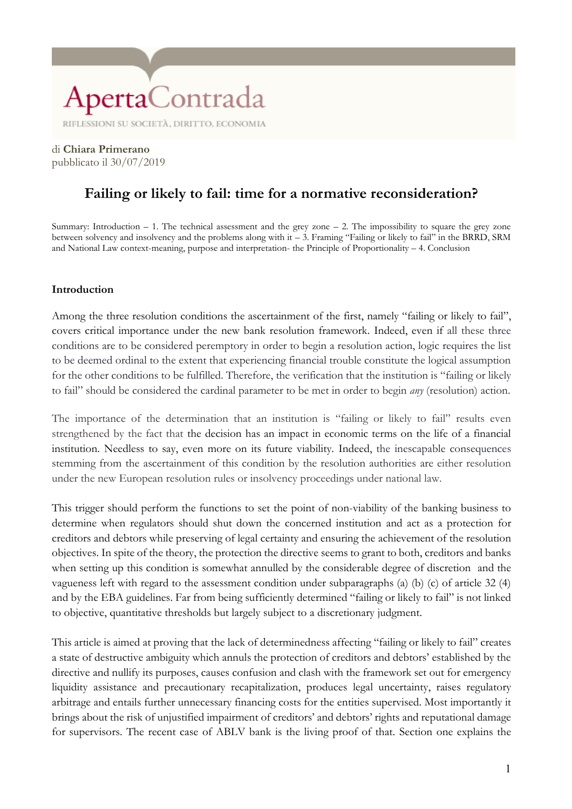di **Chiara Primerano** pubblicato il 30/07/2019

#### **Failing or likely to fail: time for a normative reconsideration?**

Summary: Introduction  $-1$ . The technical assessment and the grey zone  $-2$ . The impossibility to square the grey zone between solvency and insolvency and the problems along with it – 3. Framing "Failing or likely to fail" in the BRRD, SRM and National Law context-meaning, purpose and interpretation- the Principle of Proportionality – 4. Conclusion

#### **Introduction**

Among the three resolution conditions the ascertainment of the first, namely "failing or likely to fail", covers critical importance under the new bank resolution framework. Indeed, even if all these three conditions are to be considered peremptory in order to begin a resolution action, logic requires the list to be deemed ordinal to the extent that experiencing financial trouble constitute the logical assumption for the other conditions to be fulfilled. Therefore, the verification that the institution is "failing or likely to fail" should be considered the cardinal parameter to be met in order to begin *any* (resolution) action.

The importance of the determination that an institution is "failing or likely to fail" results even strengthened by the fact that the decision has an impact in economic terms on the life of a financial institution. Needless to say, even more on its future viability. Indeed, the inescapable consequences stemming from the ascertainment of this condition by the resolution authorities are either resolution under the new European resolution rules or insolvency proceedings under national law.

This trigger should perform the functions to set the point of non-viability of the banking business to determine when regulators should shut down the concerned institution and act as a protection for creditors and debtors while preserving of legal certainty and ensuring the achievement of the resolution objectives. In spite of the theory, the protection the directive seems to grant to both, creditors and banks when setting up this condition is somewhat annulled by the considerable degree of discretion and the vagueness left with regard to the assessment condition under subparagraphs (a) (b) (c) of article 32 (4) and by the EBA guidelines. Far from being sufficiently determined "failing or likely to fail" is not linked to objective, quantitative thresholds but largely subject to a discretionary judgment.

This article is aimed at proving that the lack of determinedness affecting "failing or likely to fail" creates a state of destructive ambiguity which annuls the protection of creditors and debtors' established by the directive and nullify its purposes, causes confusion and clash with the framework set out for emergency liquidity assistance and precautionary recapitalization, produces legal uncertainty, raises regulatory arbitrage and entails further unnecessary financing costs for the entities supervised. Most importantly it brings about the risk of unjustified impairment of creditors' and debtors' rights and reputational damage for supervisors. The recent case of ABLV bank is the living proof of that. Section one explains the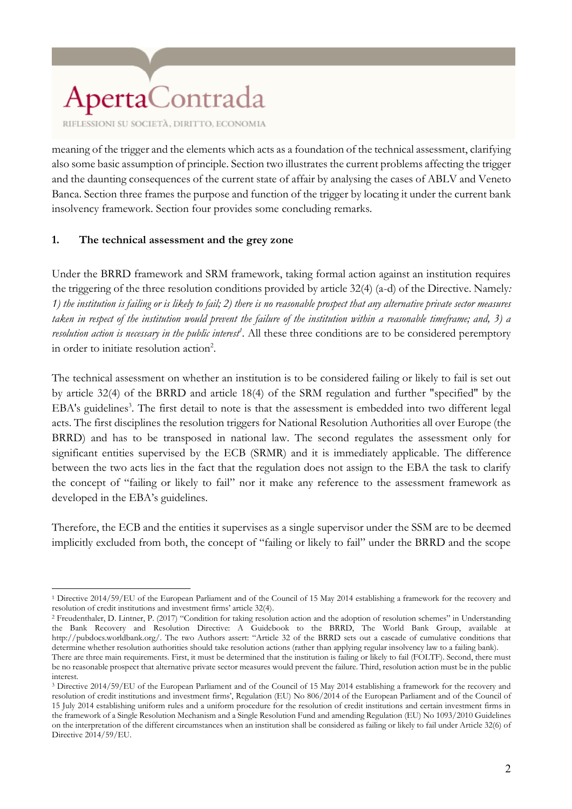meaning of the trigger and the elements which acts as a foundation of the technical assessment, clarifying also some basic assumption of principle. Section two illustrates the current problems affecting the trigger and the daunting consequences of the current state of affair by analysing the cases of ABLV and Veneto Banca. Section three frames the purpose and function of the trigger by locating it under the current bank insolvency framework. Section four provides some concluding remarks.

#### **1. The technical assessment and the grey zone**

Under the BRRD framework and SRM framework, taking formal action against an institution requires the triggering of the three resolution conditions provided by article 32(4) (a-d) of the Directive. Namely*: 1) the institution is failing or is likely to fail; 2) there is no reasonable prospect that any alternative private sector measures taken in respect of the institution would prevent the failure of the institution within a reasonable timeframe; and, 3) a resolution action is necessary in the public interest<sup>1</sup> .* All these three conditions are to be considered peremptory in order to initiate resolution action<sup>2</sup>.

The technical assessment on whether an institution is to be considered failing or likely to fail is set out by article 32(4) of the BRRD and article 18(4) of the SRM regulation and further "specified" by the EBA's guidelines<sup>3</sup>. The first detail to note is that the assessment is embedded into two different legal acts. The first disciplines the resolution triggers for National Resolution Authorities all over Europe (the BRRD) and has to be transposed in national law. The second regulates the assessment only for significant entities supervised by the ECB (SRMR) and it is immediately applicable. The difference between the two acts lies in the fact that the regulation does not assign to the EBA the task to clarify the concept of "failing or likely to fail" nor it make any reference to the assessment framework as developed in the EBA's guidelines.

Therefore, the ECB and the entities it supervises as a single supervisor under the SSM are to be deemed implicitly excluded from both, the concept of "failing or likely to fail" under the BRRD and the scope

 $\overline{a}$ <sup>1</sup> Directive 2014/59/EU of the European Parliament and of the Council of 15 May 2014 establishing a framework for the recovery and resolution of credit institutions and investment firms' article 32(4).

<sup>2</sup> Freudenthaler, D. Lintner, P. (2017) "Condition for taking resolution action and the adoption of resolution schemes" in Understanding the Bank Recovery and Resolution Directive: A Guidebook to the BRRD, The World Bank Group, available at http://pubdocs.worldbank.org/. The two Authors assert: "Article 32 of the BRRD sets out a cascade of cumulative conditions that determine whether resolution authorities should take resolution actions (rather than applying regular insolvency law to a failing bank).

There are three main requirements. First, it must be determined that the institution is failing or likely to fail (FOLTF). Second, there must be no reasonable prospect that alternative private sector measures would prevent the failure. Third, resolution action must be in the public interest.

<sup>3</sup> Directive 2014/59/EU of the European Parliament and of the Council of 15 May 2014 establishing a framework for the recovery and resolution of credit institutions and investment firms', Regulation (EU) No 806/2014 of the European Parliament and of the Council of 15 July 2014 establishing uniform rules and a uniform procedure for the resolution of credit institutions and certain investment firms in the framework of a Single Resolution Mechanism and a Single Resolution Fund and amending Regulation (EU) No 1093/2010 Guidelines on the interpretation of the different circumstances when an institution shall be considered as failing or likely to fail under Article 32(6) of Directive 2014/59/EU.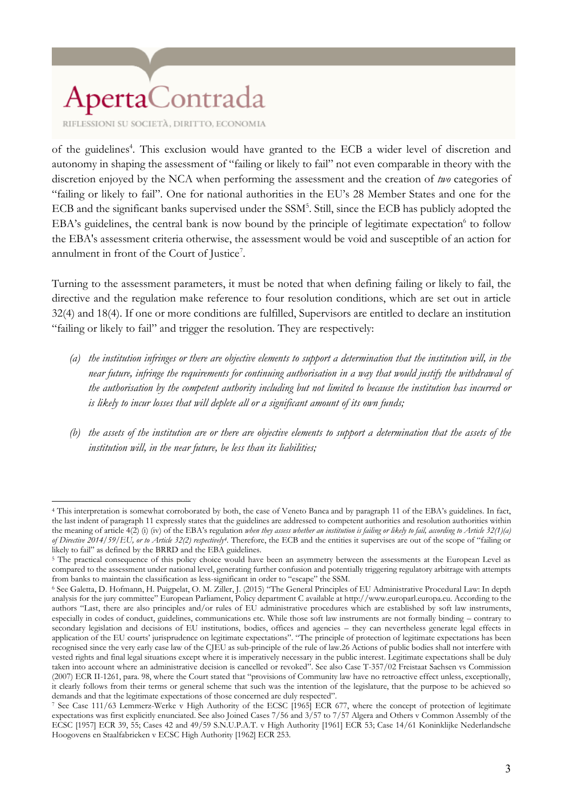RIFLESSIONI SU SOCIETÀ, DIRITTO, ECONOMIA

 $\overline{a}$ 

of the guidelines<sup>4</sup>. This exclusion would have granted to the ECB a wider level of discretion and autonomy in shaping the assessment of "failing or likely to fail" not even comparable in theory with the discretion enjoyed by the NCA when performing the assessment and the creation of *two* categories of "failing or likely to fail". One for national authorities in the EU's 28 Member States and one for the ECB and the significant banks supervised under the SSM<sup>5</sup>. Still, since the ECB has publicly adopted the EBA's guidelines, the central bank is now bound by the principle of legitimate expectation<sup>6</sup> to follow the EBA's assessment criteria otherwise, the assessment would be void and susceptible of an action for annulment in front of the Court of Justice<sup>7</sup>.

Turning to the assessment parameters, it must be noted that when defining failing or likely to fail, the directive and the regulation make reference to four resolution conditions, which are set out in article 32(4) and 18(4). If one or more conditions are fulfilled, Supervisors are entitled to declare an institution "failing or likely to fail" and trigger the resolution. They are respectively:

- *(a) the institution infringes or there are objective elements to support a determination that the institution will, in the near future, infringe the requirements for continuing authorisation in a way that would justify the withdrawal of the authorisation by the competent authority including but not limited to because the institution has incurred or is likely to incur losses that will deplete all or a significant amount of its own funds;*
- *(b) the assets of the institution are or there are objective elements to support a determination that the assets of the institution will, in the near future, be less than its liabilities;*

<sup>4</sup> This interpretation is somewhat corroborated by both, the case of Veneto Banca and by paragraph 11 of the EBA's guidelines. In fact, the last indent of paragraph 11 expressly states that the guidelines are addressed to competent authorities and resolution authorities within the meaning of article 4(2) (i) (iv) of the EBA's regulation *when they assess whether an institution is failing or likely to fail, according to Article 32(1)(a) of Directive 2014/59/EU, or to Article 32(2) respectively4.* Therefore, the ECB and the entities it supervises are out of the scope of "failing or likely to fail" as defined by the BRRD and the EBA guidelines.

<sup>&</sup>lt;sup>5</sup> The practical consequence of this policy choice would have been an asymmetry between the assessments at the European Level as compared to the assessment under national level, generating further confusion and potentially triggering regulatory arbitrage with attempts from banks to maintain the classification as less-significant in order to "escape" the SSM.

<sup>6</sup> See Galetta, D. Hofmann, H. Puigpelat, O. M. Ziller, J. (2015) "The General Principles of EU Administrative Procedural Law: In depth analysis for the jury committee" European Parliament, Policy department C available at http://www.europarl.europa.eu. According to the authors "Last, there are also principles and/or rules of EU administrative procedures which are established by soft law instruments, especially in codes of conduct, guidelines, communications etc. While those soft law instruments are not formally binding – contrary to secondary legislation and decisions of EU institutions, bodies, offices and agencies – they can nevertheless generate legal effects in application of the EU courts' jurisprudence on legitimate expectations". "The principle of protection of legitimate expectations has been recognised since the very early case law of the CJEU as sub-principle of the rule of law.26 Actions of public bodies shall not interfere with vested rights and final legal situations except where it is imperatively necessary in the public interest. Legitimate expectations shall be duly taken into account where an administrative decision is cancelled or revoked". See also Case T-357/02 Freistaat Sachsen vs Commission (2007) ECR II-1261, para. 98, where the Court stated that "provisions of Community law have no retroactive effect unless, exceptionally, it clearly follows from their terms or general scheme that such was the intention of the legislature, that the purpose to be achieved so demands and that the legitimate expectations of those concerned are duly respected".

<sup>7</sup> See Case 111/63 Lemmerz-Werke v High Authority of the ECSC [1965] ECR 677, where the concept of protection of legitimate expectations was first explicitly enunciated. See also Joined Cases 7/56 and 3/57 to 7/57 Algera and Others v Common Assembly of the ECSC [1957] ECR 39, 55; Cases 42 and 49/59 S.N.U.P.A.T. v High Authority [1961] ECR 53; Case 14/61 Koninklijke Nederlandsche Hoogovens en Staalfabrieken v ECSC High Authority [1962] ECR 253.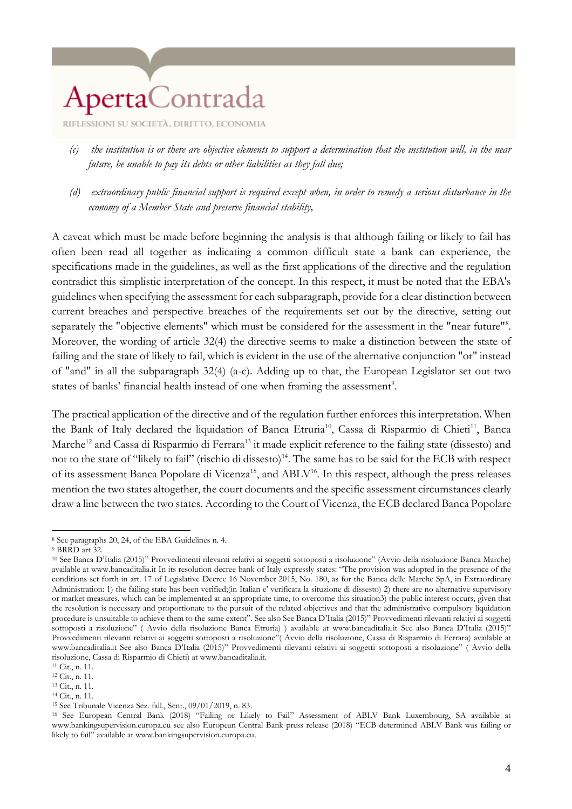RIFLESSIONI SU SOCIETÀ, DIRITTO, ECONOMIA

- *(c) the institution is or there are objective elements to support a determination that the institution will, in the near future, be unable to pay its debts or other liabilities as they fall due;*
- *(d) extraordinary public financial support is required except when, in order to remedy a serious disturbance in the economy of a Member State and preserve financial stability,*

A caveat which must be made before beginning the analysis is that although failing or likely to fail has often been read all together as indicating a common difficult state a bank can experience, the specifications made in the guidelines, as well as the first applications of the directive and the regulation contradict this simplistic interpretation of the concept. In this respect, it must be noted that the EBA's guidelines when specifying the assessment for each subparagraph, provide for a clear distinction between current breaches and perspective breaches of the requirements set out by the directive, setting out separately the "objective elements" which must be considered for the assessment in the "near future"<sup>8</sup>. Moreover, the wording of article 32(4) the directive seems to make a distinction between the state of failing and the state of likely to fail, which is evident in the use of the alternative conjunction "or" instead of "and" in all the subparagraph 32(4) (a-c). Adding up to that, the European Legislator set out two states of banks' financial health instead of one when framing the assessment<sup>9</sup>.

The practical application of the directive and of the regulation further enforces this interpretation. When the Bank of Italy declared the liquidation of Banca Etruria<sup>10</sup>, Cassa di Risparmio di Chieti<sup>11</sup>, Banca Marche<sup>12</sup> and Cassa di Risparmio di Ferrara<sup>13</sup> it made explicit reference to the failing state (dissesto) and not to the state of "likely to fail" (rischio di dissesto)<sup>14</sup>. The same has to be said for the ECB with respect of its assessment Banca Popolare di Vicenza<sup>15</sup>, and ABLV<sup>16</sup>. In this respect, although the press releases mention the two states altogether, the court documents and the specific assessment circumstances clearly draw a line between the two states. According to the Court of Vicenza, the ECB declared Banca Popolare

 $\overline{a}$ <sup>8</sup> See paragraphs 20, 24, of the EBA Guidelines n. 4.

<sup>9</sup> BRRD art 32.

<sup>10</sup> See Banca D'Italia (2015)" Provvedimenti rilevanti relativi ai soggetti sottoposti a risoluzione" (Avvio della risoluzione Banca Marche) available at www.bancaditalia.it In its resolution decree bank of Italy expressly states: "The provision was adopted in the presence of the conditions set forth in art. 17 of Legislative Decree 16 November 2015, No. 180, as for the Banca delle Marche SpA, in Extraordinary Administration: 1) the failing state has been verified;(in Italian e' verificata la situzione di dissesto) 2) there are no alternative supervisory or market measures, which can be implemented at an appropriate time, to overcome this situation3) the public interest occurs, given that the resolution is necessary and proportionate to the pursuit of the related objectives and that the administrative compulsory liquidation procedure is unsuitable to achieve them to the same extent". See also See Banca D'Italia (2015)" Provvedimenti rilevanti relativi ai soggetti sottoposti a risoluzione" ( Avvio della risoluzione Banca Etruria) ) available at www.bancaditalia.it See also Banca D'Italia (2015)" Provvedimenti rilevanti relativi ai soggetti sottoposti a risoluzione"( Avvio della risoluzione, Cassa di Risparmio di Ferrara) available at www.bancaditalia.it See also Banca D'Italia (2015)" Provvedimenti rilevanti relativi ai soggetti sottoposti a risoluzione" ( Avvio della risoluzione, Cassa di Risparmio di Chieti) at www.bancaditalia.it.

<sup>11</sup> Cit., n. 11.

<sup>12</sup> Cit., n. 11.

<sup>13</sup> Cit., n. 11. <sup>14</sup> Cit., n. 11.

<sup>15</sup> See Tribunale Vicenza Sez. fall., Sent., 09/01/2019, n. 83.

<sup>16</sup> See European Central Bank (2018) "Failing or Likely to Fail" Assessment of ABLV Bank Luxembourg, SA available at www.bankingsupervision.europa.eu see also European Central Bank press release (2018) "ECB determined ABLV Bank was failing or likely to fail" available at www.bankingsupervision.europa.eu.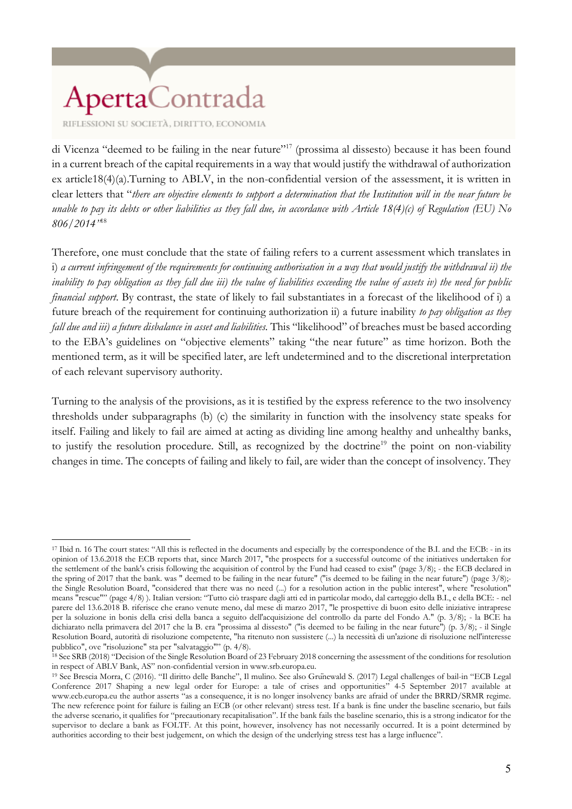RIFLESSIONI SU SOCIETÀ, DIRITTO, ECONOMIA

di Vicenza "deemed to be failing in the near future"<sup>17</sup> (prossima al dissesto) because it has been found in a current breach of the capital requirements in a way that would justify the withdrawal of authorization ex article18(4)(a).Turning to ABLV, in the non-confidential version of the assessment, it is written in clear letters that "*there are objective elements to support a determination that the Institution will in the near future be unable to pay its debts or other liabilities as they fall due, in accordance with Article 18(4)(c) of Regulation (EU) No 806/2014"* 18

Therefore, one must conclude that the state of failing refers to a current assessment which translates in i) *a current infringement of the requirements for continuing authorisation in a way that would justify the withdrawal ii) the inability to pay obligation as they fall due iii) the value of liabilities exceeding the value of assets iv) the need for public financial support*. By contrast, the state of likely to fail substantiates in a forecast of the likelihood of i) a future breach of the requirement for continuing authorization ii) a future inability *to pay obligation as they fall due and iii) a future disbalance in asset and liabilities.* This "likelihood" of breaches must be based according to the EBA's guidelines on "objective elements" taking "the near future" as time horizon. Both the mentioned term, as it will be specified later, are left undetermined and to the discretional interpretation of each relevant supervisory authority.

Turning to the analysis of the provisions, as it is testified by the express reference to the two insolvency thresholds under subparagraphs (b) (c) the similarity in function with the insolvency state speaks for itself. Failing and likely to fail are aimed at acting as dividing line among healthy and unhealthy banks, to justify the resolution procedure. Still, as recognized by the doctrine<sup>19</sup> the point on non-viability changes in time. The concepts of failing and likely to fail, are wider than the concept of insolvency. They

 $\overline{a}$ <sup>17</sup> Ibid n. 16 The court states: "All this is reflected in the documents and especially by the correspondence of the B.I. and the ECB: - in its opinion of 13.6.2018 the ECB reports that, since March 2017, "the prospects for a successful outcome of the initiatives undertaken for the settlement of the bank's crisis following the acquisition of control by the Fund had ceased to exist" (page 3/8); - the ECB declared in the spring of 2017 that the bank. was " deemed to be failing in the near future" ("is deemed to be failing in the near future") (page  $3/8$ );the Single Resolution Board, "considered that there was no need (...) for a resolution action in the public interest", where "resolution" means "rescue"" (page 4/8) ). Italian version: "Tutto ciò traspare dagli atti ed in particolar modo, dal carteggio della B.I., e della BCE: - nel parere del 13.6.2018 B. riferisce che erano venute meno, dal mese di marzo 2017, "le prospettive di buon esito delle iniziative intraprese per la soluzione in bonis della crisi della banca a seguito dell'acquisizione del controllo da parte del Fondo A." (p. 3/8); - la BCE ha dichiarato nella primavera del 2017 che la B. era "prossima al dissesto" ("is deemed to be failing in the near future") (p. 3/8); - il Single Resolution Board, autorità di risoluzione competente, "ha ritenuto non sussistere (...) la necessità di un'azione di risoluzione nell'interesse pubblico", ove "risoluzione" sta per "salvataggio"" (p. 4/8).

<sup>&</sup>lt;sup>18</sup> See SRB (2018) "Decision of the Single Resolution Board of 23 February 2018 concerning the assessment of the conditions for resolution in respect of ABLV Bank, AS" non-confidential version in www.srb.europa.eu.

<sup>19</sup> See Brescia Morra, C (2016). "Il diritto delle Banche", Il mulino. See also Grünewald S. (2017) Legal challenges of bail-in "ECB Legal Conference 2017 Shaping a new legal order for Europe: a tale of crises and opportunities" 4-5 September 2017 available at www.ecb.europa.eu the author asserts "as a consequence, it is no longer insolvency banks are afraid of under the BRRD/SRMR regime. The new reference point for failure is failing an ECB (or other relevant) stress test. If a bank is fine under the baseline scenario, but fails the adverse scenario, it qualifies for "precautionary recapitalisation". If the bank fails the baseline scenario, this is a strong indicator for the supervisor to declare a bank as FOLTF. At this point, however, insolvency has not necessarily occurred. It is a point determined by authorities according to their best judgement, on which the design of the underlying stress test has a large influence".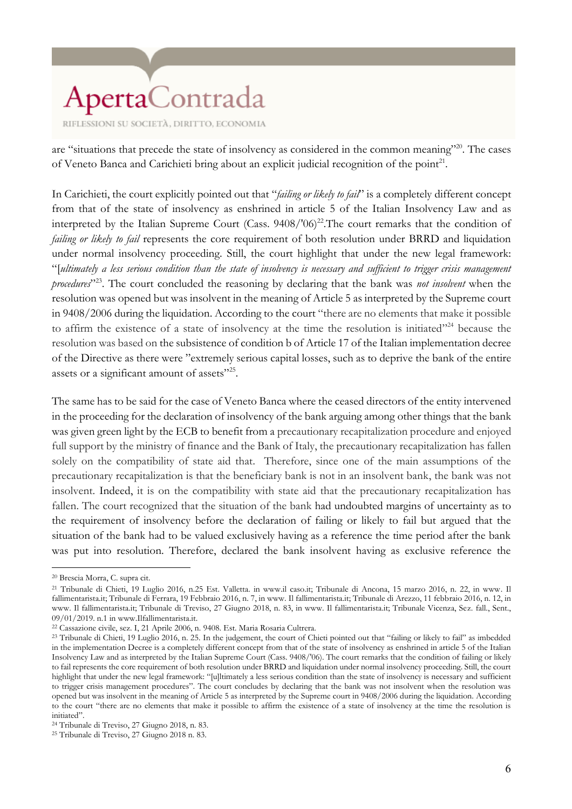are "situations that precede the state of insolvency as considered in the common meaning"<sup>20</sup>. The cases of Veneto Banca and Carichieti bring about an explicit judicial recognition of the point<sup>21</sup>.

In Carichieti, the court explicitly pointed out that "*failing or likely to fail*" is a completely different concept from that of the state of insolvency as enshrined in article 5 of the Italian Insolvency Law and as interpreted by the Italian Supreme Court (Cass.  $9408/706)^{22}$ . The court remarks that the condition of *failing or likely to fail* represents the core requirement of both resolution under BRRD and liquidation under normal insolvency proceeding. Still, the court highlight that under the new legal framework: "[*ultimately a less serious condition than the state of insolvency is necessary and sufficient to trigger crisis management procedures*" 23 . The court concluded the reasoning by declaring that the bank was *not insolvent* when the resolution was opened but was insolvent in the meaning of Article 5 as interpreted by the Supreme court in 9408/2006 during the liquidation. According to the court "there are no elements that make it possible to affirm the existence of a state of insolvency at the time the resolution is initiated"<sup>24</sup> because the resolution was based on the subsistence of condition b of Article 17 of the Italian implementation decree of the Directive as there were "extremely serious capital losses, such as to deprive the bank of the entire assets or a significant amount of assets"<sup>25</sup>.

The same has to be said for the case of Veneto Banca where the ceased directors of the entity intervened in the proceeding for the declaration of insolvency of the bank arguing among other things that the bank was given green light by the ECB to benefit from a precautionary recapitalization procedure and enjoyed full support by the ministry of finance and the Bank of Italy, the precautionary recapitalization has fallen solely on the compatibility of state aid that. Therefore, since one of the main assumptions of the precautionary recapitalization is that the beneficiary bank is not in an insolvent bank, the bank was not insolvent. Indeed, it is on the compatibility with state aid that the precautionary recapitalization has fallen. The court recognized that the situation of the bank had undoubted margins of uncertainty as to the requirement of insolvency before the declaration of failing or likely to fail but argued that the situation of the bank had to be valued exclusively having as a reference the time period after the bank was put into resolution. Therefore, declared the bank insolvent having as exclusive reference the

<sup>20</sup> Brescia Morra, C. supra cit.

<sup>21</sup> Tribunale di Chieti, 19 Luglio 2016, n.25 Est. Valletta. in www.il caso.it; Tribunale di Ancona, 15 marzo 2016, n. 22, in www. Il fallimentarista.it; Tribunale di Ferrara, 19 Febbraio 2016, n. 7, in www. Il fallimentarista.it; Tribunale di Arezzo, 11 febbraio 2016, n. 12, in www. Il fallimentarista.it; Tribunale di Treviso, 27 Giugno 2018, n. 83, in www. Il fallimentarista.it; Tribunale Vicenza, Sez. fall., Sent., 09/01/2019. n.1 in www.Ilfallimentarista.it.

<sup>22</sup> Cassazione civile, sez. I, 21 Aprile 2006, n. 9408. Est. Maria Rosaria Cultrera.

<sup>&</sup>lt;sup>23</sup> Tribunale di Chieti, 19 Luglio 2016, n. 25. In the judgement, the court of Chieti pointed out that "failing or likely to fail" as imbedded in the implementation Decree is a completely different concept from that of the state of insolvency as enshrined in article 5 of the Italian Insolvency Law and as interpreted by the Italian Supreme Court (Cass. 9408/'06). The court remarks that the condition of failing or likely to fail represents the core requirement of both resolution under BRRD and liquidation under normal insolvency proceeding. Still, the court highlight that under the new legal framework: "[u]ltimately a less serious condition than the state of insolvency is necessary and sufficient to trigger crisis management procedures". The court concludes by declaring that the bank was not insolvent when the resolution was opened but was insolvent in the meaning of Article 5 as interpreted by the Supreme court in 9408/2006 during the liquidation. According to the court "there are no elements that make it possible to affirm the existence of a state of insolvency at the time the resolution is initiated".

<sup>24</sup> Tribunale di Treviso, 27 Giugno 2018, n. 83.

<sup>25</sup> Tribunale di Treviso, 27 Giugno 2018 n. 83.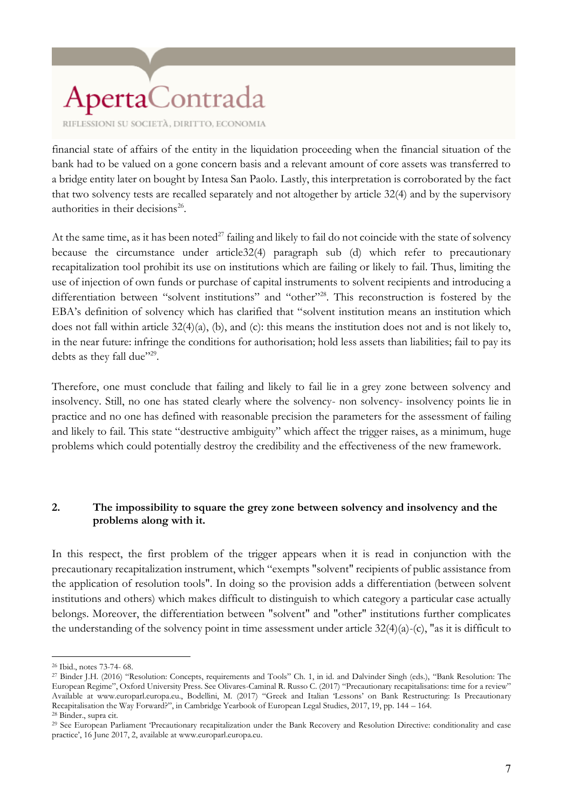RIFLESSIONI SU SOCIETÀ, DIRITTO, ECONOMIA

financial state of affairs of the entity in the liquidation proceeding when the financial situation of the bank had to be valued on a gone concern basis and a relevant amount of core assets was transferred to a bridge entity later on bought by Intesa San Paolo. Lastly, this interpretation is corroborated by the fact that two solvency tests are recalled separately and not altogether by article 32(4) and by the supervisory authorities in their decisions<sup>26</sup>.

At the same time, as it has been noted<sup>27</sup> failing and likely to fail do not coincide with the state of solvency because the circumstance under article32(4) paragraph sub (d) which refer to precautionary recapitalization tool prohibit its use on institutions which are failing or likely to fail. Thus, limiting the use of injection of own funds or purchase of capital instruments to solvent recipients and introducing a differentiation between "solvent institutions" and "other"<sup>28</sup>. This reconstruction is fostered by the EBA's definition of solvency which has clarified that "solvent institution means an institution which does not fall within article 32(4)(a), (b), and (c): this means the institution does not and is not likely to, in the near future: infringe the conditions for authorisation; hold less assets than liabilities; fail to pay its debts as they fall due"29.

Therefore, one must conclude that failing and likely to fail lie in a grey zone between solvency and insolvency. Still, no one has stated clearly where the solvency- non solvency- insolvency points lie in practice and no one has defined with reasonable precision the parameters for the assessment of failing and likely to fail. This state "destructive ambiguity" which affect the trigger raises, as a minimum, huge problems which could potentially destroy the credibility and the effectiveness of the new framework.

#### **2. The impossibility to square the grey zone between solvency and insolvency and the problems along with it.**

In this respect, the first problem of the trigger appears when it is read in conjunction with the precautionary recapitalization instrument, which "exempts "solvent" recipients of public assistance from the application of resolution tools". In doing so the provision adds a differentiation (between solvent institutions and others) which makes difficult to distinguish to which category a particular case actually belongs. Moreover, the differentiation between "solvent" and "other" institutions further complicates the understanding of the solvency point in time assessment under article  $32(4)(a)-(c)$ , "as it is difficult to

<sup>26</sup> Ibid., notes 73-74- 68.

<sup>27</sup> Binder J.H. (2016) "Resolution: Concepts, requirements and Tools" Ch. 1, in id. and Dalvinder Singh (eds.), "Bank Resolution: The European Regime", Oxford University Press. See Olivares-Caminal R. Russo C. (2017) "Precautionary recapitalisations: time for a review" Available at www.europarl.europa.eu., Bodellini, M. (2017) "Greek and Italian 'Lessons' on Bank Restructuring: Is Precautionary Recapitalisation the Way Forward?", in Cambridge Yearbook of European Legal Studies, 2017, 19, pp. 144 – 164.

<sup>28</sup> Binder., supra cit.

<sup>29</sup> See European Parliament 'Precautionary recapitalization under the Bank Recovery and Resolution Directive: conditionality and case practice', 16 June 2017, 2, available at www.europarl.europa.eu.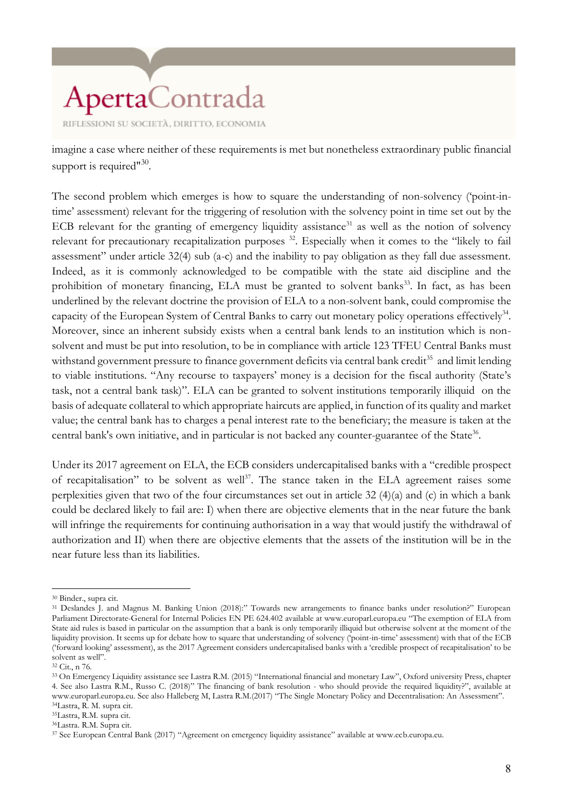imagine a case where neither of these requirements is met but nonetheless extraordinary public financial support is required"<sup>30</sup>.

The second problem which emerges is how to square the understanding of non-solvency ('point-intime' assessment) relevant for the triggering of resolution with the solvency point in time set out by the ECB relevant for the granting of emergency liquidity assistance<sup>31</sup> as well as the notion of solvency relevant for precautionary recapitalization purposes <sup>32</sup>. Especially when it comes to the "likely to fail assessment" under article 32(4) sub (a-c) and the inability to pay obligation as they fall due assessment. Indeed, as it is commonly acknowledged to be compatible with the state aid discipline and the prohibition of monetary financing, ELA must be granted to solvent banks<sup>33</sup>. In fact, as has been underlined by the relevant doctrine the provision of ELA to a non-solvent bank, could compromise the capacity of the European System of Central Banks to carry out monetary policy operations effectively<sup>34</sup>. Moreover, since an inherent subsidy exists when a central bank lends to an institution which is nonsolvent and must be put into resolution, to be in compliance with article 123 TFEU Central Banks must withstand government pressure to finance government deficits via central bank credit<sup>35</sup> and limit lending to viable institutions. "Any recourse to taxpayers' money is a decision for the fiscal authority (State's task, not a central bank task)". ELA can be granted to solvent institutions temporarily illiquid on the basis of adequate collateral to which appropriate haircuts are applied, in function of its quality and market value; the central bank has to charges a penal interest rate to the beneficiary; the measure is taken at the central bank's own initiative, and in particular is not backed any counter-guarantee of the State<sup>36</sup>.

Under its 2017 agreement on ELA, the ECB considers undercapitalised banks with a "credible prospect of recapitalisation" to be solvent as well<sup>37</sup>. The stance taken in the ELA agreement raises some perplexities given that two of the four circumstances set out in article 32 (4)(a) and (c) in which a bank could be declared likely to fail are: I) when there are objective elements that in the near future the bank will infringe the requirements for continuing authorisation in a way that would justify the withdrawal of authorization and II) when there are objective elements that the assets of the institution will be in the near future less than its liabilities.

<sup>30</sup> Binder., supra cit.

<sup>31</sup> Deslandes J. and Magnus M. Banking Union (2018):" Towards new arrangements to finance banks under resolution?" European Parliament Directorate-General for Internal Policies EN PE 624.402 available at www.europarl.europa.eu "The exemption of ELA from State aid rules is based in particular on the assumption that a bank is only temporarily illiquid but otherwise solvent at the moment of the liquidity provision. It seems up for debate how to square that understanding of solvency ('point-in-time' assessment) with that of the ECB ('forward looking' assessment), as the 2017 Agreement considers undercapitalised banks with a 'credible prospect of recapitalisation' to be solvent as well".

<sup>32</sup> Cit., n 76.

<sup>33</sup> On Emergency Liquidity assistance see Lastra R.M. (2015) "International financial and monetary Law", Oxford university Press, chapter 4. See also Lastra R.M., Russo C. (2018)" The financing of bank resolution - who should provide the required liquidity?", available at www.europarl.europa.eu. See also Halleberg M, Lastra R.M.(2017) "The Single Monetary Policy and Decentralisation: An Assessment". <sup>34</sup>Lastra, R. M. supra cit.

<sup>35</sup>Lastra, R.M. supra cit.

<sup>36</sup>Lastra. R.M. Supra cit.

<sup>37</sup> See European Central Bank (2017) "Agreement on emergency liquidity assistance" available at www.ecb.europa.eu.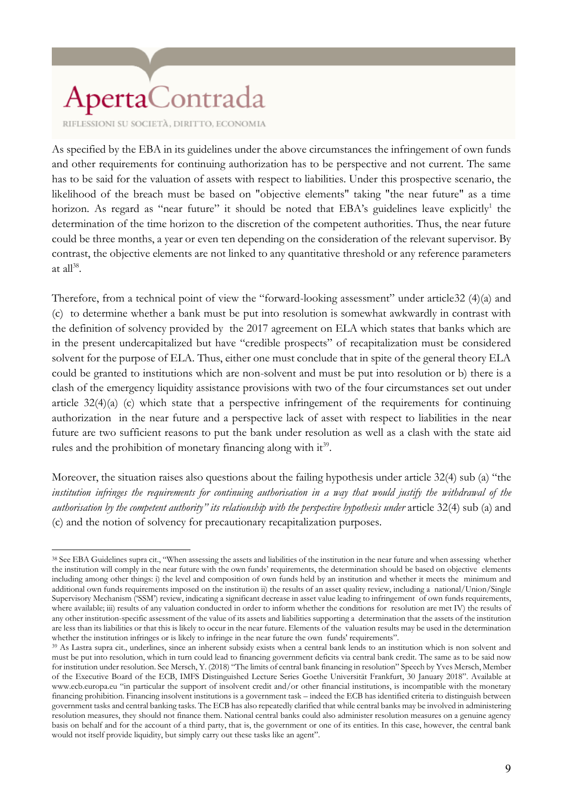RIFLESSIONI SU SOCIETÀ, DIRITTO, ECONOMIA

As specified by the EBA in its guidelines under the above circumstances the infringement of own funds and other requirements for continuing authorization has to be perspective and not current. The same has to be said for the valuation of assets with respect to liabilities. Under this prospective scenario, the likelihood of the breach must be based on "objective elements" taking "the near future" as a time horizon. As regard as "near future" it should be noted that EBA's guidelines leave explicitly<sup>1</sup> the determination of the time horizon to the discretion of the competent authorities. Thus, the near future could be three months, a year or even ten depending on the consideration of the relevant supervisor. By contrast, the objective elements are not linked to any quantitative threshold or any reference parameters at all $^{38}$ .

Therefore, from a technical point of view the "forward-looking assessment" under article32 (4)(a) and (c) to determine whether a bank must be put into resolution is somewhat awkwardly in contrast with the definition of solvency provided by the 2017 agreement on ELA which states that banks which are in the present undercapitalized but have "credible prospects" of recapitalization must be considered solvent for the purpose of ELA. Thus, either one must conclude that in spite of the general theory ELA could be granted to institutions which are non-solvent and must be put into resolution or b) there is a clash of the emergency liquidity assistance provisions with two of the four circumstances set out under article 32(4)(a) (c) which state that a perspective infringement of the requirements for continuing authorization in the near future and a perspective lack of asset with respect to liabilities in the near future are two sufficient reasons to put the bank under resolution as well as a clash with the state aid rules and the prohibition of monetary financing along with it<sup>39</sup>.

Moreover, the situation raises also questions about the failing hypothesis under article 32(4) sub (a) "the *institution infringes the requirements for continuing authorisation in a way that would justify the withdrawal of the authorisation by the competent authority" its relationship with the perspective hypothesis under* article 32(4) sub (a) and (c) and the notion of solvency for precautionary recapitalization purposes.

 $\overline{a}$ <sup>38</sup> See EBA Guidelines supra cit., "When assessing the assets and liabilities of the institution in the near future and when assessing whether the institution will comply in the near future with the own funds' requirements, the determination should be based on objective elements including among other things: i) the level and composition of own funds held by an institution and whether it meets the minimum and additional own funds requirements imposed on the institution ii) the results of an asset quality review, including a national/Union/Single Supervisory Mechanism ('SSM') review, indicating a significant decrease in asset value leading to infringement of own funds requirements, where available; iii) results of any valuation conducted in order to inform whether the conditions for resolution are met IV) the results of any other institution-specific assessment of the value of its assets and liabilities supporting a determination that the assets of the institution are less than its liabilities or that this is likely to occur in the near future. Elements of the valuation results may be used in the determination whether the institution infringes or is likely to infringe in the near future the own funds' requirements".

<sup>39</sup> As Lastra supra cit., underlines, since an inherent subsidy exists when a central bank lends to an institution which is non solvent and must be put into resolution, which in turn could lead to financing government deficits via central bank credit. The same as to be said now for institution under resolution. See Mersch, Y. (2018) "The limits of central bank financing in resolution" Speech by Yves Mersch, Member of the Executive Board of the ECB, IMFS Distinguished Lecture Series Goethe Universität Frankfurt, 30 January 2018". Available at www.ecb.europa.eu "in particular the support of insolvent credit and/or other financial institutions, is incompatible with the monetary financing prohibition. Financing insolvent institutions is a government task – indeed the ECB has identified criteria to distinguish between government tasks and central banking tasks. The ECB has also repeatedly clarified that while central banks may be involved in administering resolution measures, they should not finance them. National central banks could also administer resolution measures on a genuine agency basis on behalf and for the account of a third party, that is, the government or one of its entities. In this case, however, the central bank would not itself provide liquidity, but simply carry out these tasks like an agent".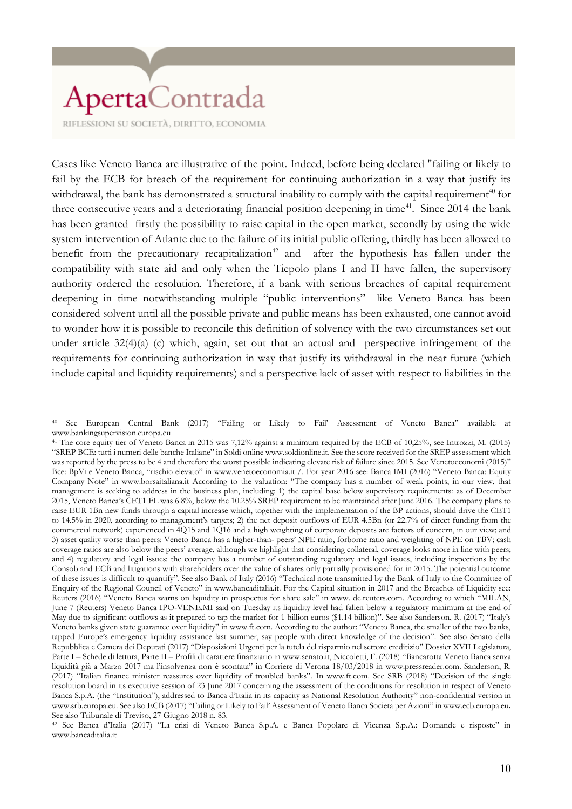RIFLESSIONI SU SOCIETÀ, DIRITTO, ECONOMIA

Cases like Veneto Banca are illustrative of the point. Indeed, before being declared "failing or likely to fail by the ECB for breach of the requirement for continuing authorization in a way that justify its withdrawal, the bank has demonstrated a structural inability to comply with the capital requirement<sup>40</sup> for three consecutive years and a deteriorating financial position deepening in time<sup>41</sup>. Since 2014 the bank has been granted firstly the possibility to raise capital in the open market, secondly by using the wide system intervention of Atlante due to the failure of its initial public offering, thirdly has been allowed to benefit from the precautionary recapitalization<sup>42</sup> and after the hypothesis has fallen under the compatibility with state aid and only when the Tiepolo plans I and II have fallen, the supervisory authority ordered the resolution. Therefore, if a bank with serious breaches of capital requirement deepening in time notwithstanding multiple "public interventions" like Veneto Banca has been considered solvent until all the possible private and public means has been exhausted, one cannot avoid to wonder how it is possible to reconcile this definition of solvency with the two circumstances set out under article 32(4)(a) (c) which, again, set out that an actual and perspective infringement of the requirements for continuing authorization in way that justify its withdrawal in the near future (which include capital and liquidity requirements) and a perspective lack of asset with respect to liabilities in the

 $\overline{a}$ <sup>40</sup> See European Central Bank (2017) "Failing or Likely to Fail' Assessment of Veneto Banca" available at www.bankingsupervision.europa.eu

<sup>41</sup> The core equity tier of Veneto Banca in 2015 was 7,12% against a minimum required by the ECB of 10,25%, see Introzzi, M. (2015) "SREP BCE: tutti i numeri delle banche Italiane" in Soldi online www.soldionline.it. See the score received for the SREP assessment which was reported by the press to be 4 and therefore the worst possible indicating elevate risk of failure since 2015. See Venetoeconomi (2015)" Bce: BpVi e Veneto Banca, "rischio elevato" in www.venetoeconomia.it /. For year 2016 see: Banca IMI (2016) "Veneto Banca: Equity Company Note" in www.borsaitaliana.it According to the valuation: "The company has a number of weak points, in our view, that management is seeking to address in the business plan, including: 1) the capital base below supervisory requirements: as of December 2015, Veneto Banca's CET1 FL was 6.8%, below the 10.25% SREP requirement to be maintained after June 2016. The company plans to raise EUR 1Bn new funds through a capital increase which, together with the implementation of the BP actions, should drive the CET1 to 14.5% in 2020, according to management's targets; 2) the net deposit outflows of EUR 4.5Bn (or 22.7% of direct funding from the commercial network) experienced in 4Q15 and 1Q16 and a high weighting of corporate deposits are factors of concern, in our view; and 3) asset quality worse than peers: Veneto Banca has a higher-than- peers' NPE ratio, forborne ratio and weighting of NPE on TBV; cash coverage ratios are also below the peers' average, although we highlight that considering collateral, coverage looks more in line with peers; and 4) regulatory and legal issues: the company has a number of outstanding regulatory and legal issues, including inspections by the Consob and ECB and litigations with shareholders over the value of shares only partially provisioned for in 2015. The potential outcome of these issues is difficult to quantify". See also Bank of Italy (2016) "Technical note transmitted by the Bank of Italy to the Committee of Enquiry of the Regional Council of Veneto" in www.bancaditalia.it. For the Capital situation in 2017 and the Breaches of Liquidity see: Reuters (2016) "Veneto Banca warns on liquidity in prospectus for share sale" in www. de.reuters.com. According to which "MILAN, June 7 (Reuters) Veneto Banca IPO-VENE.MI said on Tuesday its liquidity level had fallen below a regulatory minimum at the end of May due to significant outflows as it prepared to tap the market for 1 billion euros (\$1.14 billion)". See also Sanderson, R. (2017) "Italy's Veneto banks given state guarantee over liquidity" in www.ft.com. According to the author: "Veneto Banca, the smaller of the two banks, tapped Europe's emergency liquidity assistance last summer, say people with direct knowledge of the decision". See also Senato della Repubblica e Camera dei Deputati (2017) "Disposizioni Urgenti per la tutela del risparmio nel settore creditizio" Dossier XVII Legislatura, Parte I – Schede di lettura, Parte II – Profili di carattere finanziario in www.senato.it, Niccoletti, F. (2018) "Bancarotta Veneto Banca senza liquidità già a Marzo 2017 ma l'insolvenza non è scontata" in Corriere di Verona 18/03/2018 in www.pressreader.com. Sanderson, R. (2017) "Italian finance minister reassures over liquidity of troubled banks". In www.ft.com. See SRB (2018) "Decision of the single resolution board in its executive session of 23 June 2017 concerning the assessment of the conditions for resolution in respect of Veneto Banca S.p.A. (the "Institution"), addressed to Banca d'Italia in its capacity as National Resolution Authority" non-confidential version in www.srb.europa.eu. See also ECB (2017) "Failing or Likely to Fail' Assessment of Veneto Banca Societàper Azioni" in www.ecb.europa.eu**.**  See also Tribunale di Treviso, 27 Giugno 2018 n. 83.

<sup>42</sup> See Banca d'Italia (2017) "La crisi di Veneto Banca S.p.A. e Banca Popolare di Vicenza S.p.A.: Domande e risposte" in www.bancaditalia.it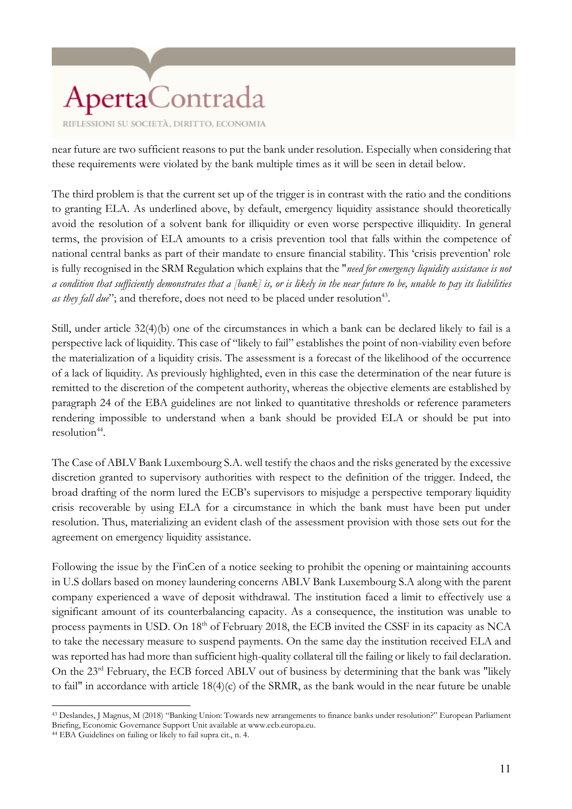near future are two sufficient reasons to put the bank under resolution. Especially when considering that these requirements were violated by the bank multiple times as it will be seen in detail below.

The third problem is that the current set up of the trigger is in contrast with the ratio and the conditions to granting ELA. As underlined above, by default, emergency liquidity assistance should theoretically avoid the resolution of a solvent bank for illiquidity or even worse perspective illiquidity. In general terms, the provision of ELA amounts to a crisis prevention tool that falls within the competence of national central banks as part of their mandate to ensure financial stability. This 'crisis prevention' role is fully recognised in the SRM Regulation which explains that the "*need for emergency liquidity assistance is not a condition that sufficiently demonstrates that a [bank] is, or is likely in the near future to be, unable to pay its liabilities*  as they fall due"; and therefore, does not need to be placed under resolution<sup>43</sup>.

Still, under article 32(4)(b) one of the circumstances in which a bank can be declared likely to fail is a perspective lack of liquidity. This case of "likely to fail" establishes the point of non-viability even before the materialization of a liquidity crisis. The assessment is a forecast of the likelihood of the occurrence of a lack of liquidity. As previously highlighted, even in this case the determination of the near future is remitted to the discretion of the competent authority, whereas the objective elements are established by paragraph 24 of the EBA guidelines are not linked to quantitative thresholds or reference parameters rendering impossible to understand when a bank should be provided ELA or should be put into resolution<sup>44</sup>.

The Case of ABLV Bank Luxembourg S.A. well testify the chaos and the risks generated by the excessive discretion granted to supervisory authorities with respect to the definition of the trigger. Indeed, the broad drafting of the norm lured the ECB's supervisors to misjudge a perspective temporary liquidity crisis recoverable by using ELA for a circumstance in which the bank must have been put under resolution. Thus, materializing an evident clash of the assessment provision with those sets out for the agreement on emergency liquidity assistance.

Following the issue by the FinCen of a notice seeking to prohibit the opening or maintaining accounts in U.S dollars based on money laundering concerns ABLV Bank Luxembourg S.A along with the parent company experienced a wave of deposit withdrawal. The institution faced a limit to effectively use a significant amount of its counterbalancing capacity. As a consequence, the institution was unable to process payments in USD. On 18<sup>th</sup> of February 2018, the ECB invited the CSSF in its capacity as NCA to take the necessary measure to suspend payments. On the same day the institution received ELA and was reported has had more than sufficient high-quality collateral till the failing or likely to fail declaration. On the 23<sup>rd</sup> February, the ECB forced ABLV out of business by determining that the bank was "likely to fail" in accordance with article 18(4)(c) of the SRMR, as the bank would in the near future be unable

<sup>43</sup> Deslandes, J Magnus, M (2018) "Banking Union: Towards new arrangements to finance banks under resolution?" European Parliament Briefing, Economic Governance Support Unit available at www.ecb.europa.eu.

<sup>44</sup> EBA Guidelines on failing or likely to fail supra cit., n. 4.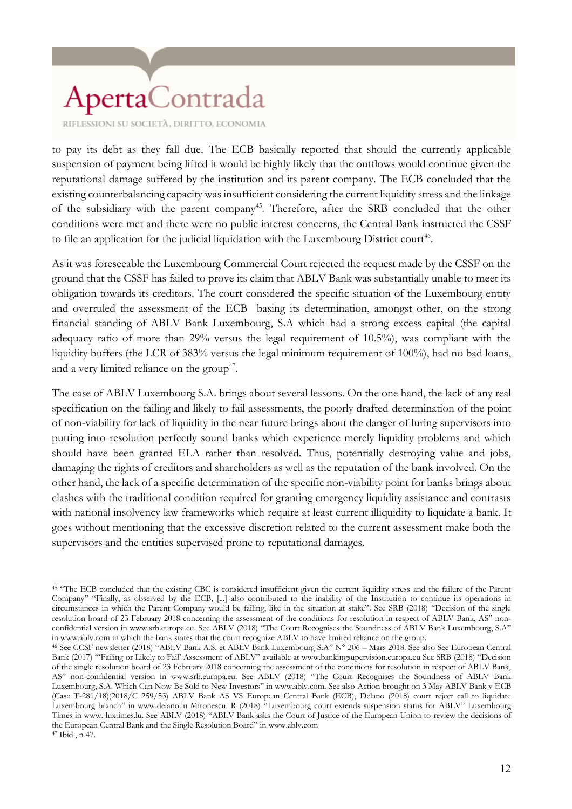RIFLESSIONI SU SOCIETÀ, DIRITTO, ECONOMIA

to pay its debt as they fall due. The ECB basically reported that should the currently applicable suspension of payment being lifted it would be highly likely that the outflows would continue given the reputational damage suffered by the institution and its parent company. The ECB concluded that the existing counterbalancing capacity was insufficient considering the current liquidity stress and the linkage of the subsidiary with the parent company<sup>45</sup>. Therefore, after the SRB concluded that the other conditions were met and there were no public interest concerns, the Central Bank instructed the CSSF to file an application for the judicial liquidation with the Luxembourg District court<sup>46</sup>.

As it was foreseeable the Luxembourg Commercial Court rejected the request made by the CSSF on the ground that the CSSF has failed to prove its claim that ABLV Bank was substantially unable to meet its obligation towards its creditors. The court considered the specific situation of the Luxembourg entity and overruled the assessment of the ECB basing its determination, amongst other, on the strong financial standing of ABLV Bank Luxembourg, S.A which had a strong excess capital (the capital adequacy ratio of more than 29% versus the legal requirement of 10.5%), was compliant with the liquidity buffers (the LCR of 383% versus the legal minimum requirement of 100%), had no bad loans, and a very limited reliance on the group<sup>47</sup>.

The case of ABLV Luxembourg S.A. brings about several lessons. On the one hand, the lack of any real specification on the failing and likely to fail assessments, the poorly drafted determination of the point of non-viability for lack of liquidity in the near future brings about the danger of luring supervisors into putting into resolution perfectly sound banks which experience merely liquidity problems and which should have been granted ELA rather than resolved. Thus, potentially destroying value and jobs, damaging the rights of creditors and shareholders as well as the reputation of the bank involved. On the other hand, the lack of a specific determination of the specific non-viability point for banks brings about clashes with the traditional condition required for granting emergency liquidity assistance and contrasts with national insolvency law frameworks which require at least current illiquidity to liquidate a bank. It goes without mentioning that the excessive discretion related to the current assessment make both the supervisors and the entities supervised prone to reputational damages.

 $\overline{a}$ <sup>45</sup> "The ECB concluded that the existing CBC is considered insufficient given the current liquidity stress and the failure of the Parent Company" "Finally, as observed by the ECB, [...] also contributed to the inability of the Institution to continue its operations in circumstances in which the Parent Company would be failing, like in the situation at stake". See SRB (2018) "Decision of the single resolution board of 23 February 2018 concerning the assessment of the conditions for resolution in respect of ABLV Bank, AS" nonconfidential version in www.srb.europa.eu. See ABLV (2018) "The Court Recognises the Soundness of ABLV Bank Luxembourg, S.A" in www.ablv.com in which the bank states that the court recognize ABLV to have limited reliance on the group.

<sup>46</sup> See CCSF newsletter (2018) "ABLV Bank A.S. et ABLV Bank Luxembourg S.A" N° 206 – Mars 2018. See also See European Central Bank (2017) "'Failing or Likely to Fail' Assessment of ABLV" available at www.bankingsupervision.europa.eu See SRB (2018) "Decision of the single resolution board of 23 February 2018 concerning the assessment of the conditions for resolution in respect of ABLV Bank, AS" non-confidential version in www.srb.europa.eu. See ABLV (2018) "The Court Recognises the Soundness of ABLV Bank Luxembourg, S.A. Which Can Now Be Sold to New Investors" in www.ablv.com. See also Action brought on 3 May ABLV Bank v ECB (Case T-281/18)(2018/C 259/53) ABLV Bank AS VS European Central Bank (ECB), Delano (2018) court reject call to liquidate Luxembourg branch" in www.delano.lu Mironescu. R (2018) "Luxembourg court extends suspension status for ABLV" Luxembourg Times in www. luxtimes.lu. See ABLV (2018) "ABLV Bank asks the Court of Justice of the European Union to review the decisions of the European Central Bank and the Single Resolution Board" in www.ablv.com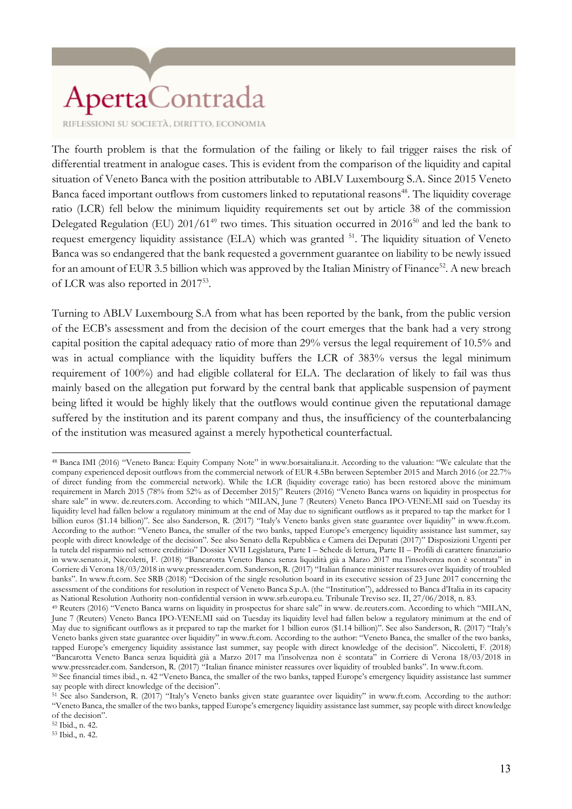RIFLESSIONI SU SOCIETÀ, DIRITTO, ECONOMIA

The fourth problem is that the formulation of the failing or likely to fail trigger raises the risk of differential treatment in analogue cases. This is evident from the comparison of the liquidity and capital situation of Veneto Banca with the position attributable to ABLV Luxembourg S.A. Since 2015 Veneto Banca faced important outflows from customers linked to reputational reasons<sup>48</sup>. The liquidity coverage ratio (LCR) fell below the minimum liquidity requirements set out by article 38 of the commission Delegated Regulation (EU) 201/61<sup>49</sup> two times. This situation occurred in 2016<sup>50</sup> and led the bank to request emergency liquidity assistance (ELA) which was granted <sup>51</sup>. The liquidity situation of Veneto Banca was so endangered that the bank requested a government guarantee on liability to be newly issued for an amount of EUR 3.5 billion which was approved by the Italian Ministry of Finance<sup>52</sup>. A new breach of LCR was also reported in 2017<sup>53</sup>.

Turning to ABLV Luxembourg S.A from what has been reported by the bank, from the public version of the ECB's assessment and from the decision of the court emerges that the bank had a very strong capital position the capital adequacy ratio of more than 29% versus the legal requirement of 10.5% and was in actual compliance with the liquidity buffers the LCR of 383% versus the legal minimum requirement of 100%) and had eligible collateral for ELA. The declaration of likely to fail was thus mainly based on the allegation put forward by the central bank that applicable suspension of payment being lifted it would be highly likely that the outflows would continue given the reputational damage suffered by the institution and its parent company and thus, the insufficiency of the counterbalancing of the institution was measured against a merely hypothetical counterfactual.

<sup>53</sup> Ibid., n. 42.

 $\overline{a}$ <sup>48</sup> Banca IMI (2016) "Veneto Banca: Equity Company Note" in www.borsaitaliana.it. According to the valuation: "We calculate that the company experienced deposit outflows from the commercial network of EUR 4.5Bn between September 2015 and March 2016 (or 22.7% of direct funding from the commercial network). While the LCR (liquidity coverage ratio) has been restored above the minimum requirement in March 2015 (78% from 52% as of December 2015)" Reuters (2016) "Veneto Banca warns on liquidity in prospectus for share sale" in www. de.reuters.com. According to which "MILAN, June 7 (Reuters) Veneto Banca IPO-VENE.MI said on Tuesday its liquidity level had fallen below a regulatory minimum at the end of May due to significant outflows as it prepared to tap the market for 1 billion euros (\$1.14 billion)". See also Sanderson, R. (2017) "Italy's Veneto banks given state guarantee over liquidity" in www.ft.com. According to the author: "Veneto Banca, the smaller of the two banks, tapped Europe's emergency liquidity assistance last summer, say people with direct knowledge of the decision". See also Senato della Repubblica e Camera dei Deputati (2017)" Disposizioni Urgenti per la tutela del risparmio nel settore creditizio" Dossier XVII Legislatura, Parte I – Schede di lettura, Parte II – Profili di carattere finanziario in www.senato.it, Niccoletti, F. (2018) "Bancarotta Veneto Banca senza liquidità già a Marzo 2017 ma l'insolvenza non è scontata" in Corriere di Verona 18/03/2018 in www.pressreader.com. Sanderson, R. (2017) "Italian finance minister reassures over liquidity of troubled banks". In www.ft.com. See SRB (2018) "Decision of the single resolution board in its executive session of 23 June 2017 concerning the assessment of the conditions for resolution in respect of Veneto Banca S.p.A. (the "Institution"), addressed to Banca d'Italia in its capacity as National Resolution Authority non-confidential version in www.srb.europa.eu. Tribunale Treviso sez. II, 27/06/2018, n. 83.

<sup>49</sup> Reuters (2016) "Veneto Banca warns on liquidity in prospectus for share sale" in www. de.reuters.com. According to which "MILAN, June 7 (Reuters) Veneto Banca IPO-VENE.MI said on Tuesday its liquidity level had fallen below a regulatory minimum at the end of May due to significant outflows as it prepared to tap the market for 1 billion euros (\$1.14 billion)". See also Sanderson, R. (2017) "Italy's Veneto banks given state guarantee over liquidity" in www.ft.com. According to the author: "Veneto Banca, the smaller of the two banks, tapped Europe's emergency liquidity assistance last summer, say people with direct knowledge of the decision". Niccoletti, F. (2018) "Bancarotta Veneto Banca senza liquidità già a Marzo 2017 ma l'insolvenza non è scontata" in Corriere di Verona 18/03/2018 in www.pressreader.com. Sanderson, R. (2017) "Italian finance minister reassures over liquidity of troubled banks". In www.ft.com.

<sup>50</sup> See financial times ibid., n. 42 "Veneto Banca, the smaller of the two banks, tapped Europe's emergency liquidity assistance last summer say people with direct knowledge of the decision".

<sup>51</sup> See also Sanderson, R. (2017) "Italy's Veneto banks given state guarantee over liquidity" in www.ft.com. According to the author: "Veneto Banca, the smaller of the two banks, tapped Europe's emergency liquidity assistance last summer, say people with direct knowledge of the decision".

<sup>52</sup> Ibid., n. 42.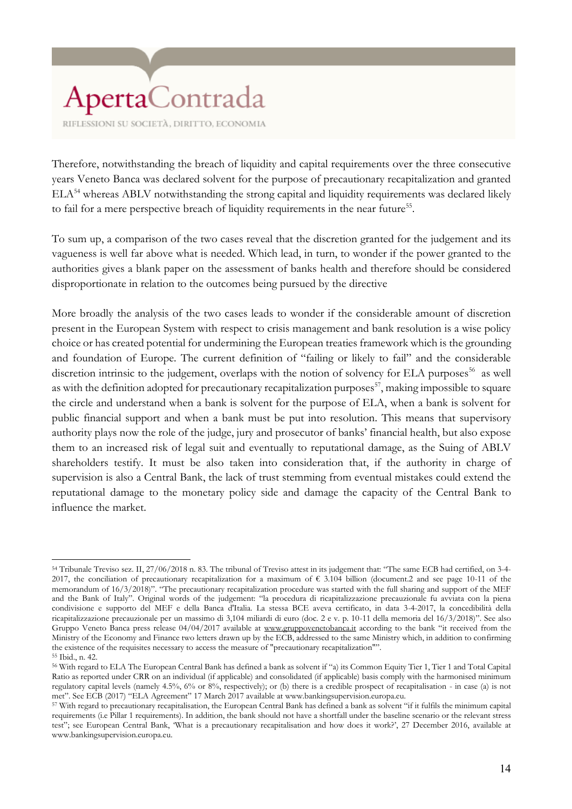RIFLESSIONI SU SOCIETÀ, DIRITTO, ECONOMIA

Therefore, notwithstanding the breach of liquidity and capital requirements over the three consecutive years Veneto Banca was declared solvent for the purpose of precautionary recapitalization and granted ELA<sup>54</sup> whereas ABLV notwithstanding the strong capital and liquidity requirements was declared likely to fail for a mere perspective breach of liquidity requirements in the near future<sup>55</sup>.

To sum up, a comparison of the two cases reveal that the discretion granted for the judgement and its vagueness is well far above what is needed. Which lead, in turn, to wonder if the power granted to the authorities gives a blank paper on the assessment of banks health and therefore should be considered disproportionate in relation to the outcomes being pursued by the directive

More broadly the analysis of the two cases leads to wonder if the considerable amount of discretion present in the European System with respect to crisis management and bank resolution is a wise policy choice or has created potential for undermining the European treaties framework which is the grounding and foundation of Europe. The current definition of "failing or likely to fail" and the considerable discretion intrinsic to the judgement, overlaps with the notion of solvency for ELA purposes<sup>56</sup> as well as with the definition adopted for precautionary recapitalization purposes<sup>57</sup>, making impossible to square the circle and understand when a bank is solvent for the purpose of ELA, when a bank is solvent for public financial support and when a bank must be put into resolution. This means that supervisory authority plays now the role of the judge, jury and prosecutor of banks' financial health, but also expose them to an increased risk of legal suit and eventually to reputational damage, as the Suing of ABLV shareholders testify. It must be also taken into consideration that, if the authority in charge of supervision is also a Central Bank, the lack of trust stemming from eventual mistakes could extend the reputational damage to the monetary policy side and damage the capacity of the Central Bank to influence the market.

l

<sup>54</sup> Tribunale Treviso sez. II, 27/06/2018 n. 83. The tribunal of Treviso attest in its judgement that: "The same ECB had certified, on 3-4- 2017, the conciliation of precautionary recapitalization for a maximum of  $\epsilon$  3.104 billion (document.2 and see page 10-11 of the memorandum of 16/3/2018)". "The precautionary recapitalization procedure was started with the full sharing and support of the MEF and the Bank of Italy". Original words of the judgement: "la procedura di ricapitalizzazione precauzionale fu avviata con la piena condivisione e supporto del MEF e della Banca d'Italia. La stessa BCE aveva certificato, in data 3-4-2017, la concedibilità della ricapitalizzazione precauzionale per un massimo di 3,104 miliardi di euro (doc. 2 e v. p. 10-11 della memoria del 16/3/2018)". See also Gruppo Veneto Banca press release 04/04/2017 available at [www.gruppovenetobanca.it](http://www.gruppovenetobanca.it/) according to the bank "it received from the Ministry of the Economy and Finance two letters drawn up by the ECB, addressed to the same Ministry which, in addition to confirming the existence of the requisites necessary to access the measure of "precautionary recapitalization"".

<sup>55</sup> Ibid., n. 42.

<sup>56</sup> With regard to ELA The European Central Bank has defined a bank as solvent if "a) its Common Equity Tier 1, Tier 1 and Total Capital Ratio as reported under CRR on an individual (if applicable) and consolidated (if applicable) basis comply with the harmonised minimum regulatory capital levels (namely 4.5%, 6% or 8%, respectively); or (b) there is a credible prospect of recapitalisation - in case (a) is not met". See ECB (2017) "ELA Agreement" 17 March 2017 available at www.bankingsupervision.europa.eu.

<sup>57</sup> With regard to precautionary recapitalisation, the European Central Bank has defined a bank as solvent "if it fulfils the minimum capital requirements (i.e Pillar 1 requirements). In addition, the bank should not have a shortfall under the baseline scenario or the relevant stress test"; see European Central Bank, 'What is a precautionary recapitalisation and how does it work?', 27 December 2016, available at www.bankingsupervision.europa.eu.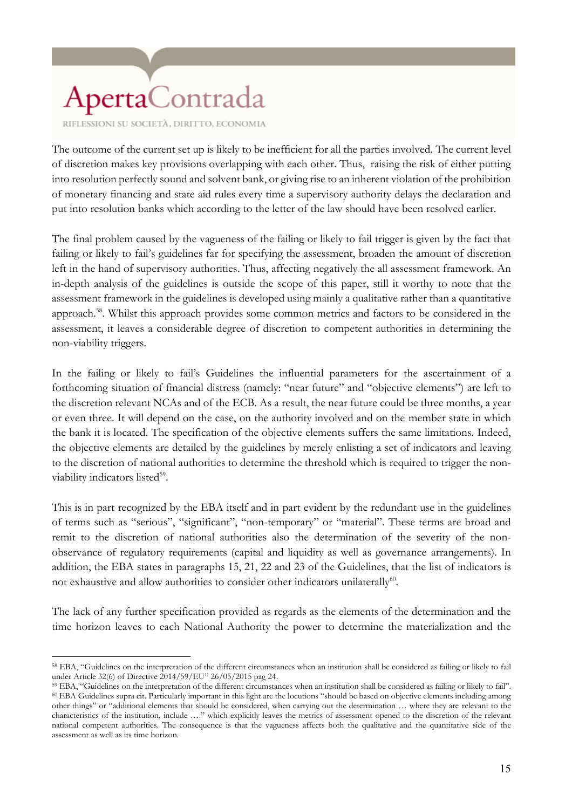RIFLESSIONI SU SOCIETÀ, DIRITTO, ECONOMIA

The outcome of the current set up is likely to be inefficient for all the parties involved. The current level of discretion makes key provisions overlapping with each other. Thus, raising the risk of either putting into resolution perfectly sound and solvent bank, or giving rise to an inherent violation of the prohibition of monetary financing and state aid rules every time a supervisory authority delays the declaration and put into resolution banks which according to the letter of the law should have been resolved earlier.

The final problem caused by the vagueness of the failing or likely to fail trigger is given by the fact that failing or likely to fail's guidelines far for specifying the assessment, broaden the amount of discretion left in the hand of supervisory authorities. Thus, affecting negatively the all assessment framework. An in-depth analysis of the guidelines is outside the scope of this paper, still it worthy to note that the assessment framework in the guidelines is developed using mainly a qualitative rather than a quantitative approach.<sup>58</sup>. Whilst this approach provides some common metrics and factors to be considered in the assessment, it leaves a considerable degree of discretion to competent authorities in determining the non-viability triggers.

In the failing or likely to fail's Guidelines the influential parameters for the ascertainment of a forthcoming situation of financial distress (namely: "near future" and "objective elements") are left to the discretion relevant NCAs and of the ECB. As a result, the near future could be three months, a year or even three. It will depend on the case, on the authority involved and on the member state in which the bank it is located. The specification of the objective elements suffers the same limitations. Indeed, the objective elements are detailed by the guidelines by merely enlisting a set of indicators and leaving to the discretion of national authorities to determine the threshold which is required to trigger the nonviability indicators listed<sup>59</sup>.

This is in part recognized by the EBA itself and in part evident by the redundant use in the guidelines of terms such as "serious", "significant", "non-temporary" or "material". These terms are broad and remit to the discretion of national authorities also the determination of the severity of the nonobservance of regulatory requirements (capital and liquidity as well as governance arrangements). In addition, the EBA states in paragraphs 15, 21, 22 and 23 of the Guidelines, that the list of indicators is not exhaustive and allow authorities to consider other indicators unilaterally<sup>60</sup>.

The lack of any further specification provided as regards as the elements of the determination and the time horizon leaves to each National Authority the power to determine the materialization and the

 $\overline{a}$ <sup>58</sup> EBA, "Guidelines on the interpretation of the different circumstances when an institution shall be considered as failing or likely to fail under Article 32(6) of Directive 2014/59/EU" 26/05/2015 pag 24.

<sup>59</sup> EBA, "Guidelines on the interpretation of the different circumstances when an institution shall be considered as failing or likely to fail". <sup>60</sup> EBA Guidelines supra cit. Particularly important in this light are the locutions "should be based on objective elements including among other things" or "additional elements that should be considered, when carrying out the determination … where they are relevant to the characteristics of the institution, include …." which explicitly leaves the metrics of assessment opened to the discretion of the relevant national competent authorities. The consequence is that the vagueness affects both the qualitative and the quantitative side of the assessment as well as its time horizon.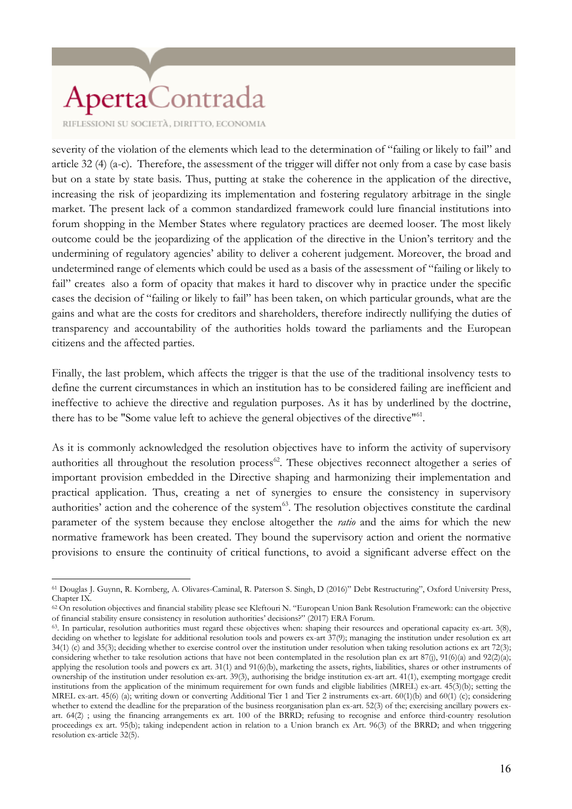RIFLESSIONI SU SOCIETÀ, DIRITTO, ECONOMIA

severity of the violation of the elements which lead to the determination of "failing or likely to fail" and article 32 (4) (a-c). Therefore, the assessment of the trigger will differ not only from a case by case basis but on a state by state basis. Thus, putting at stake the coherence in the application of the directive, increasing the risk of jeopardizing its implementation and fostering regulatory arbitrage in the single market. The present lack of a common standardized framework could lure financial institutions into forum shopping in the Member States where regulatory practices are deemed looser. The most likely outcome could be the jeopardizing of the application of the directive in the Union's territory and the undermining of regulatory agencies' ability to deliver a coherent judgement. Moreover, the broad and undetermined range of elements which could be used as a basis of the assessment of "failing or likely to fail" creates also a form of opacity that makes it hard to discover why in practice under the specific cases the decision of "failing or likely to fail" has been taken, on which particular grounds, what are the gains and what are the costs for creditors and shareholders, therefore indirectly nullifying the duties of transparency and accountability of the authorities holds toward the parliaments and the European citizens and the affected parties.

Finally, the last problem, which affects the trigger is that the use of the traditional insolvency tests to define the current circumstances in which an institution has to be considered failing are inefficient and ineffective to achieve the directive and regulation purposes. As it has by underlined by the doctrine, there has to be "Some value left to achieve the general objectives of the directive"<sup>61</sup>.

As it is commonly acknowledged the resolution objectives have to inform the activity of supervisory authorities all throughout the resolution process<sup>62</sup>. These objectives reconnect altogether a series of important provision embedded in the Directive shaping and harmonizing their implementation and practical application. Thus, creating a net of synergies to ensure the consistency in supervisory authorities' action and the coherence of the system<sup>63</sup>. The resolution objectives constitute the cardinal parameter of the system because they enclose altogether the *ratio* and the aims for which the new normative framework has been created. They bound the supervisory action and orient the normative provisions to ensure the continuity of critical functions, to avoid a significant adverse effect on the

 $\overline{a}$ <sup>61</sup> Douglas J. Guynn, R. Kornberg, A. Olivares-Caminal, R. Paterson S. Singh, D (2016)" Debt Restructuring", Oxford University Press, Chapter IX.

<sup>62</sup> On resolution objectives and financial stability please see Kleftouri N. "European Union Bank Resolution Framework: can the objective of financial stability ensure consistency in resolution authorities' decisions?" (2017) ERA Forum.

<sup>63</sup>. In particular, resolution authorities must regard these objectives when: shaping their resources and operational capacity ex-art. 3(8), deciding on whether to legislate for additional resolution tools and powers ex-art 37(9); managing the institution under resolution ex art 34(1) (c) and 35(3); deciding whether to exercise control over the institution under resolution when taking resolution actions ex art 72(3); considering whether to take resolution actions that have not been contemplated in the resolution plan ex art  $87(j)$ ,  $91(6)(a)$  and  $92(2)(a)$ ; applying the resolution tools and powers ex art. 31(1) and 91(6)(b), marketing the assets, rights, liabilities, shares or other instruments of ownership of the institution under resolution ex-art. 39(3), authorising the bridge institution ex-art art. 41(1), exempting mortgage credit institutions from the application of the minimum requirement for own funds and eligible liabilities (MREL) ex-art. 45(3)(b); setting the MREL ex-art. 45(6) (a); writing down or converting Additional Tier 1 and Tier 2 instruments ex-art. 60(1)(b) and 60(1) (c); considering whether to extend the deadline for the preparation of the business reorganisation plan ex-art. 52(3) of the; exercising ancillary powers exart. 64(2) ; using the financing arrangements ex art. 100 of the BRRD; refusing to recognise and enforce third-country resolution proceedings ex art. 95(b); taking independent action in relation to a Union branch ex Art. 96(3) of the BRRD; and when triggering resolution ex-article 32(5).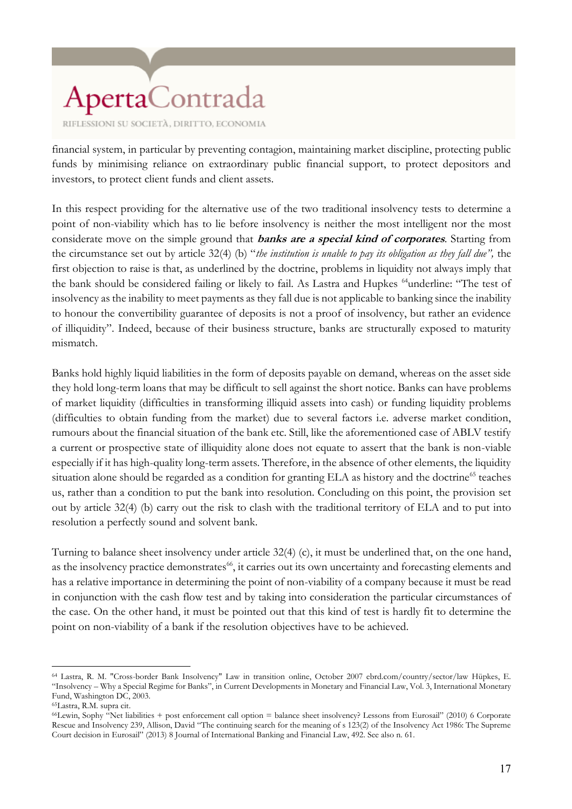financial system, in particular by preventing contagion, maintaining market discipline, protecting public funds by minimising reliance on extraordinary public financial support, to protect depositors and investors, to protect client funds and client assets.

In this respect providing for the alternative use of the two traditional insolvency tests to determine a point of non-viability which has to lie before insolvency is neither the most intelligent nor the most considerate move on the simple ground that **banks are a special kind of corporates**. Starting from the circumstance set out by article 32(4) (b) "*the institution is unable to pay its obligation as they fall due",* the first objection to raise is that, as underlined by the doctrine, problems in liquidity not always imply that the bank should be considered failing or likely to fail. As Lastra and Hupkes <sup>64</sup>underline: "The test of insolvency as the inability to meet payments as they fall due is not applicable to banking since the inability to honour the convertibility guarantee of deposits is not a proof of insolvency, but rather an evidence of illiquidity". Indeed, because of their business structure, banks are structurally exposed to maturity mismatch.

Banks hold highly liquid liabilities in the form of deposits payable on demand, whereas on the asset side they hold long-term loans that may be difficult to sell against the short notice. Banks can have problems of market liquidity (difficulties in transforming illiquid assets into cash) or funding liquidity problems (difficulties to obtain funding from the market) due to several factors i.e. adverse market condition, rumours about the financial situation of the bank etc. Still, like the aforementioned case of ABLV testify a current or prospective state of illiquidity alone does not equate to assert that the bank is non-viable especially if it has high-quality long-term assets. Therefore, in the absence of other elements, the liquidity situation alone should be regarded as a condition for granting ELA as history and the doctrine<sup>65</sup> teaches us, rather than a condition to put the bank into resolution. Concluding on this point, the provision set out by article 32(4) (b) carry out the risk to clash with the traditional territory of ELA and to put into resolution a perfectly sound and solvent bank.

Turning to balance sheet insolvency under article 32(4) (c), it must be underlined that, on the one hand, as the insolvency practice demonstrates<sup>66</sup>, it carries out its own uncertainty and forecasting elements and has a relative importance in determining the point of non-viability of a company because it must be read in conjunction with the cash flow test and by taking into consideration the particular circumstances of the case. On the other hand, it must be pointed out that this kind of test is hardly fit to determine the point on non-viability of a bank if the resolution objectives have to be achieved.

<sup>64</sup> Lastra, R. M. "Cross-border Bank Insolvency" Law in transition online, October 2007 ebrd.com/country/sector/law Hüpkes, E. "Insolvency – Why a Special Regime for Banks", in Current Developments in Monetary and Financial Law, Vol. 3, International Monetary Fund, Washington DC, 2003.

<sup>65</sup>Lastra, R.M. supra cit.

<sup>66</sup>Lewin, Sophy "Net liabilities + post enforcement call option = balance sheet insolvency? Lessons from Eurosail" (2010) 6 Corporate Rescue and Insolvency 239, Allison, David "The continuing search for the meaning of s 123(2) of the Insolvency Act 1986: The Supreme Court decision in Eurosail" (2013) 8 Journal of International Banking and Financial Law, 492. See also n. 61.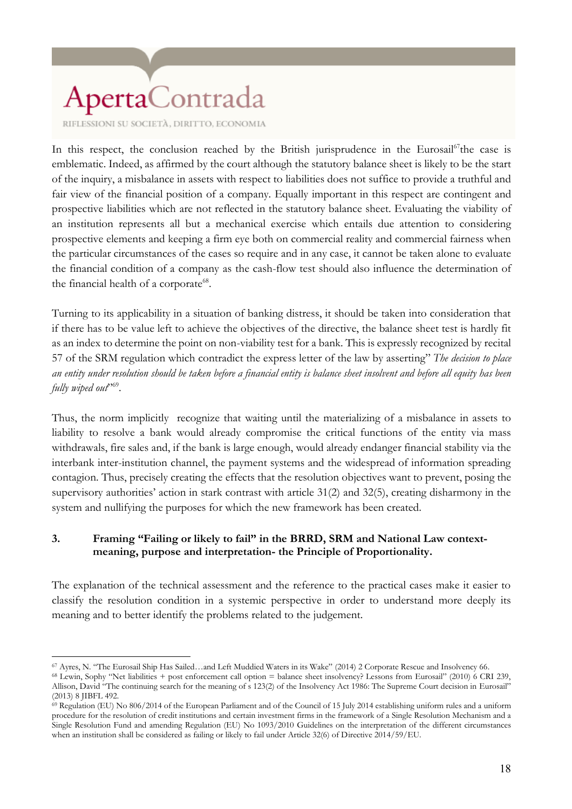RIFLESSIONI SU SOCIETÀ, DIRITTO, ECONOMIA

In this respect, the conclusion reached by the British jurisprudence in the Eurosail<sup>67</sup>the case is emblematic. Indeed, as affirmed by the court although the statutory balance sheet is likely to be the start of the inquiry, a misbalance in assets with respect to liabilities does not suffice to provide a truthful and fair view of the financial position of a company. Equally important in this respect are contingent and prospective liabilities which are not reflected in the statutory balance sheet. Evaluating the viability of an institution represents all but a mechanical exercise which entails due attention to considering prospective elements and keeping a firm eye both on commercial reality and commercial fairness when the particular circumstances of the cases so require and in any case, it cannot be taken alone to evaluate the financial condition of a company as the cash-flow test should also influence the determination of the financial health of a corporate<sup>68</sup>.

Turning to its applicability in a situation of banking distress, it should be taken into consideration that if there has to be value left to achieve the objectives of the directive, the balance sheet test is hardly fit as an index to determine the point on non-viability test for a bank. This is expressly recognized by recital 57 of the SRM regulation which contradict the express letter of the law by asserting" *The decision to place an entity under resolution should be taken before a financial entity is balance sheet insolvent and before all equity has been fully wiped out*" 69 .

Thus, the norm implicitly recognize that waiting until the materializing of a misbalance in assets to liability to resolve a bank would already compromise the critical functions of the entity via mass withdrawals, fire sales and, if the bank is large enough, would already endanger financial stability via the interbank inter-institution channel, the payment systems and the widespread of information spreading contagion. Thus, precisely creating the effects that the resolution objectives want to prevent, posing the supervisory authorities' action in stark contrast with article 31(2) and 32(5), creating disharmony in the system and nullifying the purposes for which the new framework has been created.

#### **3. Framing "Failing or likely to fail" in the BRRD, SRM and National Law contextmeaning, purpose and interpretation- the Principle of Proportionality.**

The explanation of the technical assessment and the reference to the practical cases make it easier to classify the resolution condition in a systemic perspective in order to understand more deeply its meaning and to better identify the problems related to the judgement.

 $\overline{a}$ <sup>67</sup> Ayres, N. "The Eurosail Ship Has Sailed…and Left Muddied Waters in its Wake" (2014) 2 Corporate Rescue and Insolvency 66.

<sup>68</sup> Lewin, Sophy "Net liabilities + post enforcement call option = balance sheet insolvency? Lessons from Eurosail" (2010) 6 CRI 239, Allison, David "The continuing search for the meaning of s 123(2) of the Insolvency Act 1986: The Supreme Court decision in Eurosail" (2013) 8 JIBFL 492.

<sup>69</sup> Regulation (EU) No 806/2014 of the European Parliament and of the Council of 15 July 2014 establishing uniform rules and a uniform procedure for the resolution of credit institutions and certain investment firms in the framework of a Single Resolution Mechanism and a Single Resolution Fund and amending Regulation (EU) No 1093/2010 Guidelines on the interpretation of the different circumstances when an institution shall be considered as failing or likely to fail under Article 32(6) of Directive 2014/59/EU.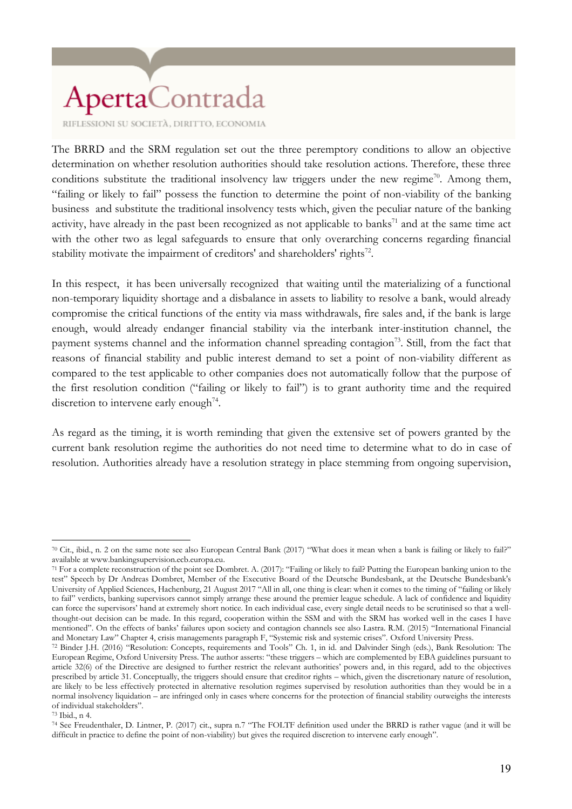RIFLESSIONI SU SOCIETÀ, DIRITTO, ECONOMIA

The BRRD and the SRM regulation set out the three peremptory conditions to allow an objective determination on whether resolution authorities should take resolution actions. Therefore, these three conditions substitute the traditional insolvency law triggers under the new regime<sup>70</sup>. Among them, "failing or likely to fail" possess the function to determine the point of non-viability of the banking business and substitute the traditional insolvency tests which, given the peculiar nature of the banking activity, have already in the past been recognized as not applicable to banks<sup>71</sup> and at the same time act with the other two as legal safeguards to ensure that only overarching concerns regarding financial stability motivate the impairment of creditors' and shareholders' rights $72$ .

In this respect, it has been universally recognized that waiting until the materializing of a functional non-temporary liquidity shortage and a disbalance in assets to liability to resolve a bank, would already compromise the critical functions of the entity via mass withdrawals, fire sales and, if the bank is large enough, would already endanger financial stability via the interbank inter-institution channel, the payment systems channel and the information channel spreading contagion<sup>73</sup>. Still, from the fact that reasons of financial stability and public interest demand to set a point of non-viability different as compared to the test applicable to other companies does not automatically follow that the purpose of the first resolution condition ("failing or likely to fail") is to grant authority time and the required discretion to intervene early enough<sup>74</sup>.

As regard as the timing, it is worth reminding that given the extensive set of powers granted by the current bank resolution regime the authorities do not need time to determine what to do in case of resolution. Authorities already have a resolution strategy in place stemming from ongoing supervision,

<sup>73</sup> Ibid., n 4.

<sup>70</sup> Cit., ibid., n. 2 on the same note see also European Central Bank (2017) "What does it mean when a bank is failing or likely to fail?" available at www.bankingsupervision.ecb.europa.eu.

<sup>71</sup> For a complete reconstruction of the point see Dombret. A. (2017): "Failing or likely to fail? Putting the European banking union to the test" Speech by Dr Andreas Dombret, Member of the Executive Board of the Deutsche Bundesbank, at the Deutsche Bundesbank's University of Applied Sciences, Hachenburg, 21 August 2017 "All in all, one thing is clear: when it comes to the timing of "failing or likely to fail" verdicts, banking supervisors cannot simply arrange these around the premier league schedule. A lack of confidence and liquidity can force the supervisors' hand at extremely short notice. In each individual case, every single detail needs to be scrutinised so that a wellthought-out decision can be made. In this regard, cooperation within the SSM and with the SRM has worked well in the cases I have mentioned". On the effects of banks' failures upon society and contagion channels see also Lastra. R.M. (2015) "International Financial and Monetary Law" Chapter 4, crisis managements paragraph F, "Systemic risk and systemic crises". Oxford University Press.

<sup>72</sup> Binder J.H. (2016) "Resolution: Concepts, requirements and Tools" Ch. 1, in id. and Dalvinder Singh (eds.), Bank Resolution: The European Regime, Oxford University Press. The author asserts: "these triggers – which are complemented by EBA guidelines pursuant to article 32(6) of the Directive are designed to further restrict the relevant authorities' powers and, in this regard, add to the objectives prescribed by article 31. Conceptually, the triggers should ensure that creditor rights – which, given the discretionary nature of resolution, are likely to be less effectively protected in alternative resolution regimes supervised by resolution authorities than they would be in a normal insolvency liquidation – are infringed only in cases where concerns for the protection of financial stability outweighs the interests of individual stakeholders".

<sup>74</sup> See Freudenthaler, D. Lintner, P. (2017) cit., supra n.7 "The FOLTF definition used under the BRRD is rather vague (and it will be difficult in practice to define the point of non-viability) but gives the required discretion to intervene early enough".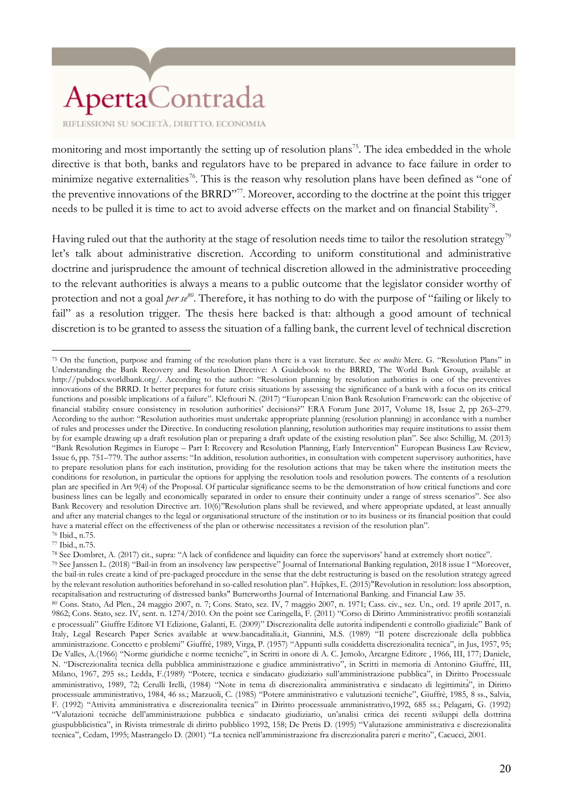RIFLESSIONI SU SOCIETÀ, DIRITTO, ECONOMIA

monitoring and most importantly the setting up of resolution plans<sup>75</sup>. The idea embedded in the whole directive is that both, banks and regulators have to be prepared in advance to face failure in order to minimize negative externalities<sup>76</sup>. This is the reason why resolution plans have been defined as "one of the preventive innovations of the BRRD"<sup>77</sup>. Moreover, according to the doctrine at the point this trigger needs to be pulled it is time to act to avoid adverse effects on the market and on financial Stability<sup>78</sup>.

Having ruled out that the authority at the stage of resolution needs time to tailor the resolution strategy<sup>79</sup> let's talk about administrative discretion. According to uniform constitutional and administrative doctrine and jurisprudence the amount of technical discretion allowed in the administrative proceeding to the relevant authorities is always a means to a public outcome that the legislator consider worthy of protection and not a goal *per se<sup>80</sup>*. Therefore, it has nothing to do with the purpose of "failing or likely to fail" as a resolution trigger. The thesis here backed is that: although a good amount of technical discretion is to be granted to assess the situation of a falling bank, the current level of technical discretion

<sup>77</sup> Ibid., n.75.

<sup>78</sup> See Dombret, A. (2017) cit., supra: "A lack of confidence and liquidity can force the supervisors' hand at extremely short notice".

 $\overline{a}$ <sup>75</sup> On the function, purpose and framing of the resolution plans there is a vast literature. See *ex multis* Merc. G. "Resolution Plans" in Understanding the Bank Recovery and Resolution Directive: A Guidebook to the BRRD, The World Bank Group, available at http://pubdocs.worldbank.org/. According to the author: "Resolution planning by resolution authorities is one of the preventives innovations of the BRRD. It better prepares for future crisis situations by assessing the significance of a bank with a focus on its critical functions and possible implications of a failure". Kleftouri N. (2017) "European Union Bank Resolution Framework: can the objective of financial stability ensure consistency in resolution authorities' decisions?" ERA Forum June 2017, Volume 18, Issue 2, pp 263–279. According to the author: "Resolution authorities must undertake appropriate planning (resolution planning) in accordance with a number of rules and processes under the Directive. In conducting resolution planning, resolution authorities may require institutions to assist them by for example drawing up a draft resolution plan or preparing a draft update of the existing resolution plan". See also: Schillig, M. (2013) "Bank Resolution Regimes in Europe – Part I: Recovery and Resolution Planning, Early Intervention" European Business Law Review, Issue 6, pp. 751–779. The author asserts: "In addition, resolution authorities, in consultation with competent supervisory authorities, have to prepare resolution plans for each institution, providing for the resolution actions that may be taken where the institution meets the conditions for resolution, in particular the options for applying the resolution tools and resolution powers. The contents of a resolution plan are specified in Art 9(4) of the Proposal. Of particular significance seems to be the demonstration of how critical functions and core business lines can be legally and economically separated in order to ensure their continuity under a range of stress scenarios". See also Bank Recovery and resolution Directive art. 10(6)''Resolution plans shall be reviewed, and where appropriate updated, at least annually and after any material changes to the legal or organisational structure of the institution or to its business or its financial position that could have a material effect on the effectiveness of the plan or otherwise necessitates a revision of the resolution plan". <sup>76</sup> Ibid., n.75.

<sup>79</sup> See Janssen L. (2018) "Bail-in from an insolvency law perspective" Journal of International Banking regulation, 2018 issue I "Moreover, the bail-in rules create a kind of pre-packaged procedure in the sense that the debt restructuring is based on the resolution strategy agreed by the relevant resolution authorities beforehand in so-called resolution plan". Hüpkes, E. (2015)"Revolution in resolution: loss absorption, recapitalisation and restructuring of distressed banks" Butterworths Journal of International Banking. and Financial Law 35.

<sup>80</sup> Cons. Stato, Ad Plen., 24 maggio 2007, n. 7; Cons. Stato, sez. IV, 7 maggio 2007, n. 1971; Cass. civ., sez. Un., ord. 19 aprile 2017, n. 9862; Cons. Stato, sez. IV, sent. n. 1274/2010. On the point see Caringella, F. (2011) "Corso di Diritto Amministrativo: profili sostanziali e processuali" Giuffre Editore VI Edizione, Galanti, E. (2009)" Discrezionalitàdelle autoritàindipendenti e controllo giudiziale" Bank of Italy, Legal Research Paper Series available at www.bancaditalia.it, Giannini, M.S. (1989) "Il potere discrezionale della pubblica amministrazione. Concetto e problemi" Giuffrè, 1989, Virga, P. (1957) "Appunti sulla cosiddetta discrezionalitàtecnica", in Jus, 1957, 95; De Valles, A.(1966) "Norme giuridiche e norme tecniche", in Scritti in onore di A. C. Jemolo, Arcargne Editore , 1966, III, 177; Daniele, N. "Discrezionalità tecnica della pubblica amministrazione e giudice amministrativo", in Scritti in memoria di Antonino Giuffré, III, Milano, 1967, 295 ss.; Ledda, F.(1989) "Potere, tecnica e sindacato giudiziario sull'amministrazione pubblica", in Diritto Processuale amministrativo, 1989, 72; Cerulli Irelli, (1984) "Note in tema di discrezionalità amministrativa e sindacato di legittimità", in Diritto processuale amministrativo, 1984, 46 ss.; Marzuoli, C. (1985) "Potere amministrativo e valutazioni tecniche", Giuffrè, 1985, 8 ss., Salvia, F. (1992) "Attività amministrativa e discrezionalità tecnica" in Diritto processuale amministrativo,1992, 685 ss.; Pelagatti, G. (1992) "Valutazioni tecniche dell'amministrazione pubblica e sindacato giudiziario, un'analisi critica dei recenti sviluppi della dottrina giuspubblicistica", in Rivista trimestrale di diritto pubblico 1992, 158; De Pretis D. (1995) "Valutazione amministrativa e discrezionalità tecnica", Cedam, 1995; Mastrangelo D. (2001) "La tecnica nell'amministrazione fra discrezionalitàpareri e merito", Cacucci, 2001.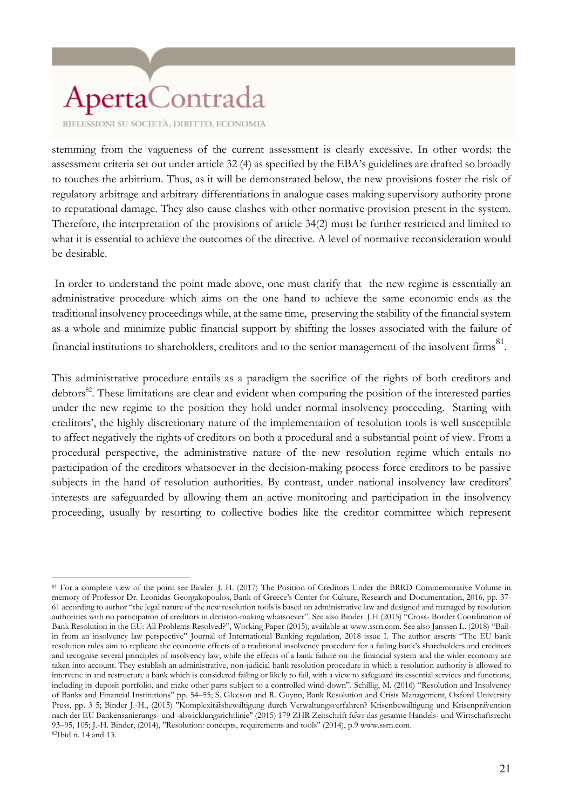RIFLESSIONI SU SOCIETÀ, DIRITTO, ECONOMIA

 $\overline{a}$ 

stemming from the vagueness of the current assessment is clearly excessive. In other words: the assessment criteria set out under article 32 (4) as specified by the EBA's guidelines are drafted so broadly to touches the arbitrium. Thus, as it will be demonstrated below, the new provisions foster the risk of regulatory arbitrage and arbitrary differentiations in analogue cases making supervisory authority prone to reputational damage. They also cause clashes with other normative provision present in the system. Therefore, the interpretation of the provisions of article 34(2) must be further restricted and limited to what it is essential to achieve the outcomes of the directive. A level of normative reconsideration would be desirable.

In order to understand the point made above, one must clarify that the new regime is essentially an administrative procedure which aims on the one hand to achieve the same economic ends as the traditional insolvency proceedings while, at the same time, preserving the stability of the financial system as a whole and minimize public financial support by shifting the losses associated with the failure of financial institutions to shareholders, creditors and to the senior management of the insolvent firms  $^{81}$ .

This administrative procedure entails as a paradigm the sacrifice of the rights of both creditors and debtors<sup>82</sup>. These limitations are clear and evident when comparing the position of the interested parties under the new regime to the position they hold under normal insolvency proceeding. Starting with creditors', the highly discretionary nature of the implementation of resolution tools is well susceptible to affect negatively the rights of creditors on both a procedural and a substantial point of view. From a procedural perspective, the administrative nature of the new resolution regime which entails no participation of the creditors whatsoever in the decision-making process force creditors to be passive subjects in the hand of resolution authorities. By contrast, under national insolvency law creditors' interests are safeguarded by allowing them an active monitoring and participation in the insolvency proceeding, usually by resorting to collective bodies like the creditor committee which represent

<sup>81</sup> For a complete view of the point see Binder. J. H. (2017) The Position of Creditors Under the BRRD Commemorative Volume in memory of Professor Dr. Leonidas Georgakopoulos, Bank of Greece's Center for Culture, Research and Documentation, 2016, pp. 37- 61 according to author "the legal nature of the new resolution tools is based on administrative law and designed and managed by resolution authorities with no participation of creditors in decision-making whatsoever". See also Binder. J.H (2015) "Cross- Border Coordination of Bank Resolution in the EU: All Problems Resolved?", Working Paper (2015), available at www.ssrn.com. See also Janssen L. (2018) "Bailin from an insolvency law perspective" Journal of International Banking regulation, 2018 issue I. The author asserts "The EU bank resolution rules aim to replicate the economic effects of a traditional insolvency procedure for a failing bank's shareholders and creditors and recognise several principles of insolvency law, while the effects of a bank failure on the financial system and the wider economy are taken into account. They establish an administrative, non-judicial bank resolution procedure in which a resolution authority is allowed to intervene in and restructure a bank which is considered failing or likely to fail, with a view to safeguard its essential services and functions, including its deposit portfolio, and make other parts subject to a controlled wind-down". Schillig, M. (2016) "Resolution and Insolvency of Banks and Financial Institutions" pp. 54–55; S. Gleeson and R. Guynn, Bank Resolution and Crisis Management, Oxford University Press, pp. 3 5; Binder J.-H., (2015) "Komplexitätsbewältigung durch Verwaltungsverfahren? Krisenbewältigung und Krisenprävention nach der EU Bankensanierungs- und -abwicklungsrichtlinie" (2015) 179 ZHR Zeitschrift füwr das gesamte Handels- und Wirtschaftsrecht 93–95, 105; J.-H. Binder, (2014), "Resolution: concepts, requirements and tools" (2014), p.9 www.ssrn.com. 82Ibid n. 14 and 13.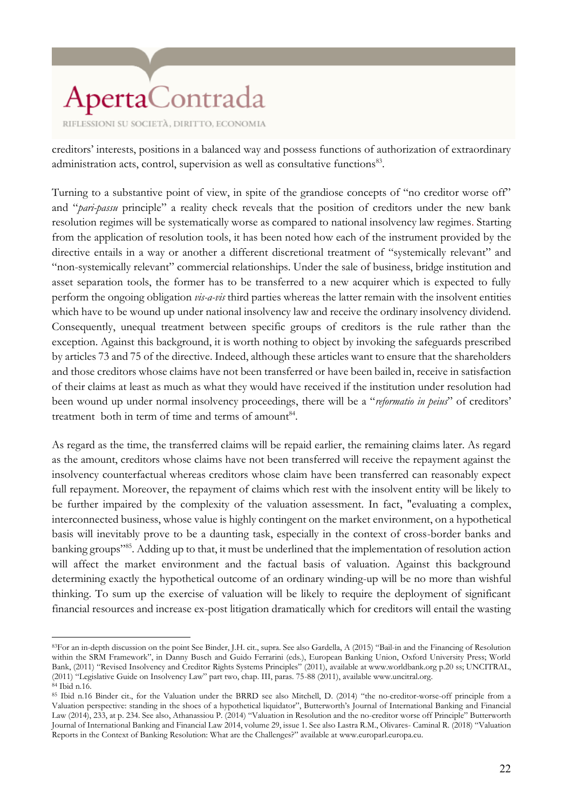RIFLESSIONI SU SOCIETÀ, DIRITTO, ECONOMIA

creditors' interests, positions in a balanced way and possess functions of authorization of extraordinary administration acts, control, supervision as well as consultative functions<sup>83</sup>.

Turning to a substantive point of view, in spite of the grandiose concepts of "no creditor worse off" and "*pari-passu* principle" a reality check reveals that the position of creditors under the new bank resolution regimes will be systematically worse as compared to national insolvency law regimes. Starting from the application of resolution tools, it has been noted how each of the instrument provided by the directive entails in a way or another a different discretional treatment of "systemically relevant" and "non-systemically relevant" commercial relationships. Under the sale of business, bridge institution and asset separation tools, the former has to be transferred to a new acquirer which is expected to fully perform the ongoing obligation *vis-a-vis* third parties whereas the latter remain with the insolvent entities which have to be wound up under national insolvency law and receive the ordinary insolvency dividend. Consequently, unequal treatment between specific groups of creditors is the rule rather than the exception. Against this background, it is worth nothing to object by invoking the safeguards prescribed by articles 73 and 75 of the directive. Indeed, although these articles want to ensure that the shareholders and those creditors whose claims have not been transferred or have been bailed in, receive in satisfaction of their claims at least as much as what they would have received if the institution under resolution had been wound up under normal insolvency proceedings, there will be a "*reformatio in peius*" of creditors' treatment both in term of time and terms of amount<sup>84</sup>.

As regard as the time, the transferred claims will be repaid earlier, the remaining claims later. As regard as the amount, creditors whose claims have not been transferred will receive the repayment against the insolvency counterfactual whereas creditors whose claim have been transferred can reasonably expect full repayment. Moreover, the repayment of claims which rest with the insolvent entity will be likely to be further impaired by the complexity of the valuation assessment. In fact, "evaluating a complex, interconnected business, whose value is highly contingent on the market environment, on a hypothetical basis will inevitably prove to be a daunting task, especially in the context of cross-border banks and banking groups"<sup>85</sup>. Adding up to that, it must be underlined that the implementation of resolution action will affect the market environment and the factual basis of valuation. Against this background determining exactly the hypothetical outcome of an ordinary winding-up will be no more than wishful thinking. To sum up the exercise of valuation will be likely to require the deployment of significant financial resources and increase ex-post litigation dramatically which for creditors will entail the wasting

 $\overline{a}$ <sup>83</sup>For an in-depth discussion on the point See Binder, J.H. cit., supra. See also Gardella, A (2015) "Bail-in and the Financing of Resolution within the SRM Framework", in Danny Busch and Guido Ferrarini (eds.), European Banking Union, Oxford University Press; World Bank, (2011) "Revised Insolvency and Creditor Rights Systems Principles" (2011), available at www.worldbank.org p.20 ss; UNCITRAL, (2011) "Legislative Guide on Insolvency Law" part two, chap. III, paras. 75-88 (2011), available www.uncitral.org. <sup>84</sup> Ibid n.16.

<sup>85</sup> Ibid n.16 Binder cit., for the Valuation under the BRRD see also Mitchell, D. (2014) "the no-creditor-worse-off principle from a Valuation perspective: standing in the shoes of a hypothetical liquidator", Butterworth's Journal of International Banking and Financial Law (2014), 233, at p. 234. See also, Athanassiou P. (2014) "Valuation in Resolution and the no-creditor worse off Principle" Butterworth Journal of International Banking and Financial Law 2014, volume 29, issue 1. See also Lastra R.M., Olivares- Caminal R. (2018) "Valuation Reports in the Context of Banking Resolution: What are the Challenges?" available at www.europarl.europa.eu.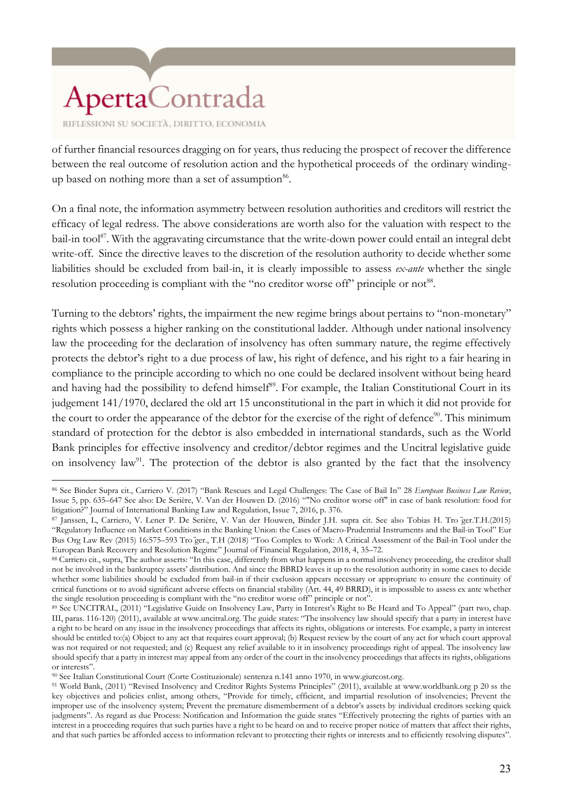of further financial resources dragging on for years, thus reducing the prospect of recover the difference between the real outcome of resolution action and the hypothetical proceeds of the ordinary windingup based on nothing more than a set of assumption<sup>86</sup>.

On a final note, the information asymmetry between resolution authorities and creditors will restrict the efficacy of legal redress. The above considerations are worth also for the valuation with respect to the bail-in tool<sup>87</sup>. With the aggravating circumstance that the write-down power could entail an integral debt write-off. Since the directive leaves to the discretion of the resolution authority to decide whether some liabilities should be excluded from bail-in, it is clearly impossible to assess *ex-ante* whether the single resolution proceeding is compliant with the "no creditor worse off" principle or not<sup>88</sup>.

Turning to the debtors' rights, the impairment the new regime brings about pertains to "non-monetary" rights which possess a higher ranking on the constitutional ladder. Although under national insolvency law the proceeding for the declaration of insolvency has often summary nature, the regime effectively protects the debtor's right to a due process of law, his right of defence, and his right to a fair hearing in compliance to the principle according to which no one could be declared insolvent without being heard and having had the possibility to defend himself<sup>89</sup>. For example, the Italian Constitutional Court in its judgement 141/1970, declared the old art 15 unconstitutional in the part in which it did not provide for the court to order the appearance of the debtor for the exercise of the right of defence<sup>90</sup>. This minimum standard of protection for the debtor is also embedded in international standards, such as the World Bank principles for effective insolvency and creditor/debtor regimes and the Uncitral legislative guide on insolvency  $law^{91}$ . The protection of the debtor is also granted by the fact that the insolvency

 $\overline{a}$ <sup>86</sup> See Binder Supra cit., Carriero V. (2017) "Bank Rescues and Legal Challenges: The Case of Bail In" 28 *European Business Law Review*, Issue 5, pp. 635–647 See also: De Serière, V. Van der Houwen D. (2016) ""No creditor worse off" in case of bank resolution: food for litigation?" Journal of International Banking Law and Regulation, Issue 7, 2016, p. 376.

<sup>87</sup> Janssen, L, Carriero, V. Lener P. De Serière, V. Van der Houwen, Binder J.H. supra cit. See also Tobias H. Tro ̈ger.T.H.(2015) "Regulatory Influence on Market Conditions in the Banking Union: the Cases of Macro-Prudential Instruments and the Bail-in Tool" Eur Bus Org Law Rev (2015) 16:575–593 Tro ̈ger., T.H (2018) "Too Complex to Work: A Critical Assessment of the Bail-in Tool under the European Bank Recovery and Resolution Regime" Journal of Financial Regulation, 2018, 4, 35–72.

<sup>88</sup> Carriero cit., supra, The author asserts: "In this case, differently from what happens in a normal insolvency proceeding, the creditor shall not be involved in the bankruptcy assets' distribution. And since the BBRD leaves it up to the resolution authority in some cases to decide whether some liabilities should be excluded from bail-in if their exclusion appears necessary or appropriate to ensure the continuity of critical functions or to avoid significant adverse effects on financial stability (Art. 44, 49 BRRD), it is impossible to assess ex ante whether the single resolution proceeding is compliant with the "no creditor worse off" principle or not".

<sup>89</sup> See UNCITRAL, (2011) "Legislative Guide on Insolvency Law, Party in Interest's Right to Be Heard and To Appeal" (part two, chap. III, paras. 116-120) (2011), available at www.uncitral.org. The guide states: "The insolvency law should specify that a party in interest have a right to be heard on any issue in the insolvency proceedings that affects its rights, obligations or interests. For example, a party in interest should be entitled to:(a) Object to any act that requires court approval; (b) Request review by the court of any act for which court approval was not required or not requested; and (c) Request any relief available to it in insolvency proceedings right of appeal. The insolvency law should specify that a party in interest may appeal from any order of the court in the insolvency proceedings that affects its rights, obligations or interests".

<sup>90</sup> See Italian Constitutional Court (Corte Costituzionale) sentenza n.141 anno 1970, in www.giurcost.org.

<sup>91</sup> World Bank, (2011) "Revised Insolvency and Creditor Rights Systems Principles" (2011), available at www.worldbank.org p 20 ss the key objectives and policies enlist, among others, "Provide for timely, efficient, and impartial resolution of insolvencies; Prevent the improper use of the insolvency system; Prevent the premature dismemberment of a debtor's assets by individual creditors seeking quick judgments". As regard as due Process: Notification and Information the guide states "Effectively protecting the rights of parties with an interest in a proceeding requires that such parties have a right to be heard on and to receive proper notice of matters that affect their rights, and that such parties be afforded access to information relevant to protecting their rights or interests and to efficiently resolving disputes".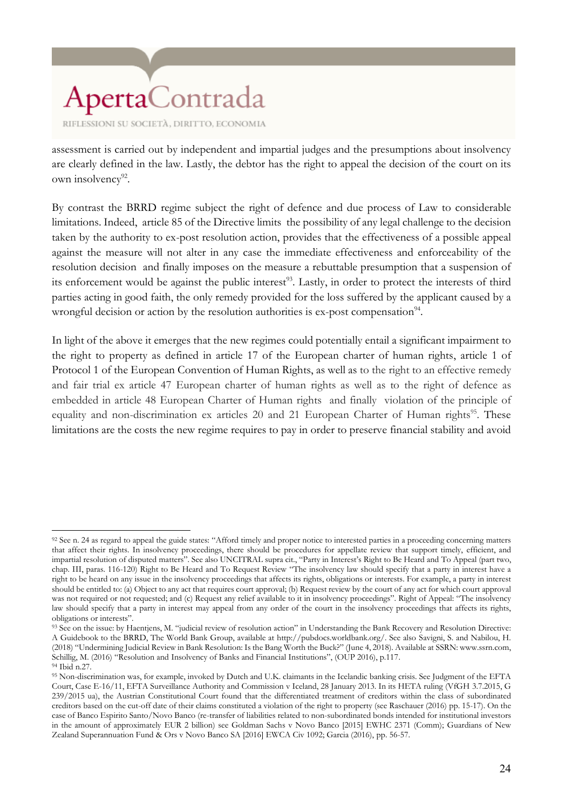RIFLESSIONI SU SOCIETÀ, DIRITTO, ECONOMIA

assessment is carried out by independent and impartial judges and the presumptions about insolvency are clearly defined in the law. Lastly, the debtor has the right to appeal the decision of the court on its own insolvency<sup>92</sup>.

By contrast the BRRD regime subject the right of defence and due process of Law to considerable limitations. Indeed, article 85 of the Directive limits the possibility of any legal challenge to the decision taken by the authority to ex-post resolution action, provides that the effectiveness of a possible appeal against the measure will not alter in any case the immediate effectiveness and enforceability of the resolution decision and finally imposes on the measure a rebuttable presumption that a suspension of its enforcement would be against the public interest<sup>93</sup>. Lastly, in order to protect the interests of third parties acting in good faith, the only remedy provided for the loss suffered by the applicant caused by a wrongful decision or action by the resolution authorities is ex-post compensation<sup>94</sup>.

In light of the above it emerges that the new regimes could potentially entail a significant impairment to the right to property as defined in article 17 of the European charter of human rights, article 1 of Protocol 1 of the European Convention of Human Rights, as well as to the right to an effective remedy and fair trial ex article 47 European charter of human rights as well as to the right of defence as embedded in article 48 European Charter of Human rights and finally violation of the principle of equality and non-discrimination ex articles 20 and 21 European Charter of Human rights<sup>95</sup>. These limitations are the costs the new regime requires to pay in order to preserve financial stability and avoid

 $\overline{a}$ 92 See n. 24 as regard to appeal the guide states: "Afford timely and proper notice to interested parties in a proceeding concerning matters that affect their rights. In insolvency proceedings, there should be procedures for appellate review that support timely, efficient, and impartial resolution of disputed matters". See also UNCITRAL supra cit., "Party in Interest's Right to Be Heard and To Appeal (part two, chap. III, paras. 116-120) Right to Be Heard and To Request Review "The insolvency law should specify that a party in interest have a right to be heard on any issue in the insolvency proceedings that affects its rights, obligations or interests. For example, a party in interest should be entitled to: (a) Object to any act that requires court approval; (b) Request review by the court of any act for which court approval was not required or not requested; and (c) Request any relief available to it in insolvency proceedings". Right of Appeal: "The insolvency law should specify that a party in interest may appeal from any order of the court in the insolvency proceedings that affects its rights, obligations or interests".

<sup>93</sup> See on the issue: by Haentjens, M. "judicial review of resolution action" in Understanding the Bank Recovery and Resolution Directive: A Guidebook to the BRRD, The World Bank Group, available at http://pubdocs.worldbank.org/. See also Savigni, S. and Nabilou, H. (2018) "Undermining Judicial Review in Bank Resolution: Is the Bang Worth the Buck?" (June 4, 2018). Available at SSRN: www.ssrn.com, Schillig, M. (2016) "Resolution and Insolvency of Banks and Financial Institutions", (OUP 2016), p.117. <sup>94</sup> Ibid n.27.

<sup>95</sup> Non-discrimination was, for example, invoked by Dutch and U.K. claimants in the Icelandic banking crisis. See Judgment of the EFTA Court, Case E-16/11, EFTA Surveillance Authority and Commission v Iceland, 28 January 2013. In its HETA ruling (VfGH 3.7.2015, G 239/2015 ua), the Austrian Constitutional Court found that the differentiated treatment of creditors within the class of subordinated creditors based on the cut-off date of their claims constituted a violation of the right to property (see Raschauer (2016) pp. 15-17). On the case of Banco Espirito Santo/Novo Banco (re-transfer of liabilities related to non-subordinated bonds intended for institutional investors in the amount of approximately EUR 2 billion) see Goldman Sachs v Novo Banco [2015] EWHC 2371 (Comm); Guardians of New Zealand Superannuation Fund & Ors v Novo Banco SA [2016] EWCA Civ 1092; Garcia (2016), pp. 56-57.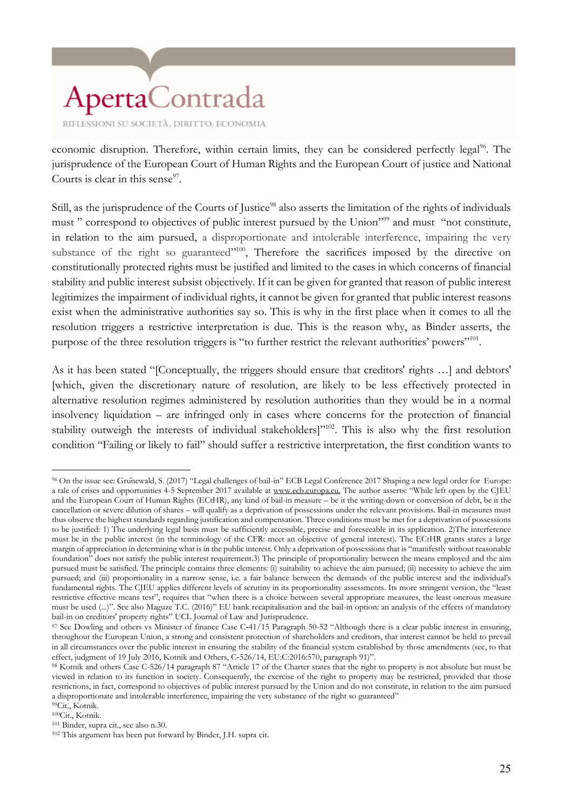economic disruption. Therefore, within certain limits, they can be considered perfectly legal<sup>96</sup>. The jurisprudence of the European Court of Human Rights and the European Court of justice and National Courts is clear in this sense $97$ .

Still, as the jurisprudence of the Courts of Justice<sup>98</sup> also asserts the limitation of the rights of individuals must " correspond to objectives of public interest pursued by the Union"<sup>399</sup> and must "not constitute, in relation to the aim pursued, a disproportionate and intolerable interference, impairing the very substance of the right so guaranteed"<sup>100</sup>, Therefore the sacrifices imposed by the directive on constitutionally protected rights must be justified and limited to the cases in which concerns of financial stability and public interest subsist objectively. If it can be given for granted that reason of public interest legitimizes the impairment of individual rights, it cannot be given for granted that public interest reasons exist when the administrative authorities say so. This is why in the first place when it comes to all the resolution triggers a restrictive interpretation is due. This is the reason why, as Binder asserts, the purpose of the three resolution triggers is "to further restrict the relevant authorities' powers"<sup>101</sup>.

As it has been stated "[Conceptually, the triggers should ensure that creditors' rights …] and debtors' [which, given the discretionary nature of resolution, are likely to be less effectively protected in alternative resolution regimes administered by resolution authorities than they would be in a normal insolvency liquidation – are infringed only in cases where concerns for the protection of financial stability outweigh the interests of individual stakeholders]"<sup>102</sup>. This is also why the first resolution condition "Failing or likely to fail" should suffer a restrictive interpretation, the first condition wants to

<sup>99</sup>Cit., Kotnik. <sup>100</sup>Cit., Kotnik.

<sup>96</sup> On the issue see: Grünewald, S. (2017) "Legal challenges of bail-in" ECB Legal Conference 2017 Shaping a new legal order for Europe: a tale of crises and opportunities 4-5 September 2017 available at [www.ecb.europa.eu.](http://www.ecb.europa.eu/) The author asserts: "While left open by the CJEU and the European Court of Human Rights (ECtHR), any kind of bail-in measure – be it the writing-down or conversion of debt, be it the cancellation or severe dilution of shares – will qualify as a deprivation of possessions under the relevant provisions. Bail-in measures must thus observe the highest standards regarding justification and compensation. Three conditions must be met for a deprivation of possessions to be justified: 1) The underlying legal basis must be sufficiently accessible, precise and foreseeable in its application. 2)The interference must be in the public interest (in the terminology of the CFR: meet an objective of general interest). The ECtHR grants states a large margin of appreciation in determining what is in the public interest. Only a deprivation of possessions that is "manifestly without reasonable foundation" does not satisfy the public interest requirement.3) The principle of proportionality between the means employed and the aim pursued must be satisfied. The principle contains three elements: (i) suitability to achieve the aim pursued; (ii) necessity to achieve the aim pursued; and (iii) proportionality in a narrow sense, i.e. a fair balance between the demands of the public interest and the individual's fundamental rights. The CJEU applies different levels of scrutiny in its proportionality assessments. Its more stringent version, the "least restrictive effective means test", requires that "when there is a choice between several appropriate measures, the least onerous measure must be used (...)". See also Maguze T.C. (2016)" EU bank recapitalisation and the bail-in option: an analysis of the effects of mandatory bail-in on creditors' property rights" UCL Journal of Law and Jurisprudence.

<sup>&</sup>lt;sup>97</sup> See Dowling and others vs Minister of finance Case C-41/15 Paragraph 50-52 "Although there is a clear public interest in ensuring, throughout the European Union, a strong and consistent protection of shareholders and creditors, that interest cannot be held to prevail in all circumstances over the public interest in ensuring the stability of the financial system established by those amendments (see, to that effect, judgment of 19 July 2016, Kotnik and Others, C‐526/14, EU:C:2016:570, paragraph 91)".

<sup>98</sup> Kotnik and others Case C-526/14 paragraph 87 "Article 17 of the Charter states that the right to property is not absolute but must be viewed in relation to its function in society. Consequently, the exercise of the right to property may be restricted, provided that those restrictions, in fact, correspond to objectives of public interest pursued by the Union and do not constitute, in relation to the aim pursued a disproportionate and intolerable interference, impairing the very substance of the right so guaranteed"

<sup>101</sup> Binder, supra cit., see also n.30.

<sup>102</sup> This argument has been put forward by Binder, J.H. supra cit.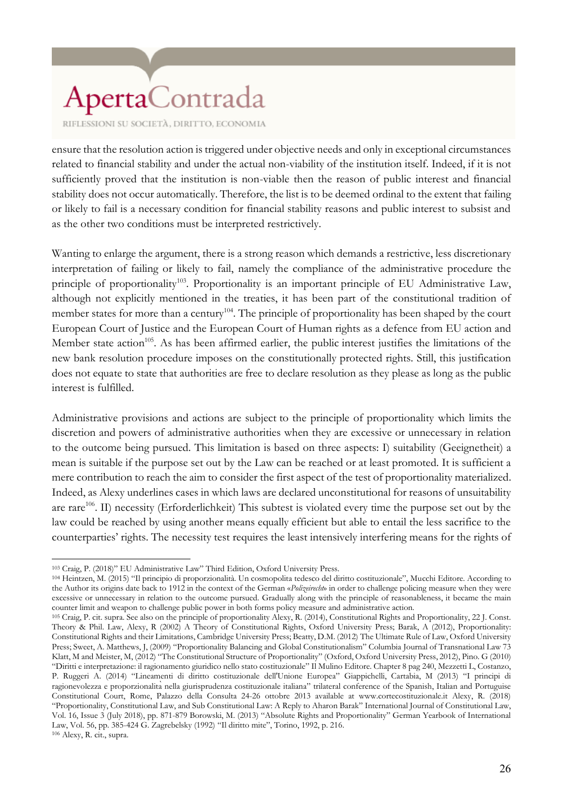RIFLESSIONI SU SOCIETÀ, DIRITTO, ECONOMIA

ensure that the resolution action is triggered under objective needs and only in exceptional circumstances related to financial stability and under the actual non-viability of the institution itself. Indeed, if it is not sufficiently proved that the institution is non-viable then the reason of public interest and financial stability does not occur automatically. Therefore, the list is to be deemed ordinal to the extent that failing or likely to fail is a necessary condition for financial stability reasons and public interest to subsist and as the other two conditions must be interpreted restrictively.

Wanting to enlarge the argument, there is a strong reason which demands a restrictive, less discretionary interpretation of failing or likely to fail, namely the compliance of the administrative procedure the principle of proportionality<sup>103</sup>. Proportionality is an important principle of EU Administrative Law, although not explicitly mentioned in the treaties, it has been part of the constitutional tradition of member states for more than a century<sup>104</sup>. The principle of proportionality has been shaped by the court European Court of Justice and the European Court of Human rights as a defence from EU action and Member state action<sup>105</sup>. As has been affirmed earlier, the public interest justifies the limitations of the new bank resolution procedure imposes on the constitutionally protected rights. Still, this justification does not equate to state that authorities are free to declare resolution as they please as long as the public interest is fulfilled.

Administrative provisions and actions are subject to the principle of proportionality which limits the discretion and powers of administrative authorities when they are excessive or unnecessary in relation to the outcome being pursued. This limitation is based on three aspects: I) suitability (Geeignetheit) a mean is suitable if the purpose set out by the Law can be reached or at least promoted. It is sufficient a mere contribution to reach the aim to consider the first aspect of the test of proportionality materialized. Indeed, as Alexy underlines cases in which laws are declared unconstitutional for reasons of unsuitability are rare<sup>106</sup>. II) necessity (Erforderlichkeit) This subtest is violated every time the purpose set out by the law could be reached by using another means equally efficient but able to entail the less sacrifice to the counterparties' rights. The necessity test requires the least intensively interfering means for the rights of

 $\overline{a}$ <sup>103</sup> Craig, P. (2018)" EU Administrative Law" Third Edition, Oxford University Press.

<sup>104</sup> Heintzen, M. (2015) "Il principio di proporzionalità. Un cosmopolita tedesco del diritto costituzionale", Mucchi Editore. According to the Author its origins date back to 1912 in the context of the German «*Polizeirecht*» in order to challenge policing measure when they were excessive or unnecessary in relation to the outcome pursued. Gradually along with the principle of reasonableness, it became the main counter limit and weapon to challenge public power in both forms policy measure and administrative action.

<sup>105</sup> Craig, P. cit. supra. See also on the principle of proportionality Alexy, R. (2014), Constitutional Rights and Proportionality, 22 J. Const. Theory & Phil. Law, Alexy, R (2002) A Theory of Constitutional Rights, Oxford University Press; Barak, A (2012), Proportionality: Constitutional Rights and their Limitations, Cambridge University Press; Beatty, D.M. (2012) The Ultimate Rule of Law, Oxford University Press; Sweet, A. Matthews, J, (2009) "Proportionality Balancing and Global Constitutionalism" Columbia Journal of Transnational Law 73 Klatt, M and Meister, M, (2012) "The Constitutional Structure of Proportionality" (Oxford, Oxford University Press, 2012), Pino. G (2010) "Diritti e interpretazione: il ragionamento giuridico nello stato costituzionale" Il Mulino Editore. Chapter 8 pag 240, Mezzetti L, Costanzo, P. Ruggeri A. (2014) "Lineamenti di diritto costituzionale dell'Unione Europea" Giappichelli, Cartabia, M (2013) "I principi di ragionevolezza e proporzionalità nella giurisprudenza costituzionale italiana" trilateral conference of the Spanish, Italian and Portuguise Constitutional Court, Rome, Palazzo della Consulta 24-26 ottobre 2013 available at www.cortecostituzionale.it Alexy, R. (2018) "Proportionality, Constitutional Law, and Sub Constitutional Law: A Reply to Aharon Barak" International Journal of Constitutional Law, Vol. 16, Issue 3 (July 2018), pp. 871-879 Borowski, M. (2013) "Absolute Rights and Proportionality" German Yearbook of International Law, Vol. 56, pp. 385-424 G. Zagrebelsky (1992) "Il diritto mite", Torino, 1992, p. 216. <sup>106</sup> Alexy, R. cit., supra.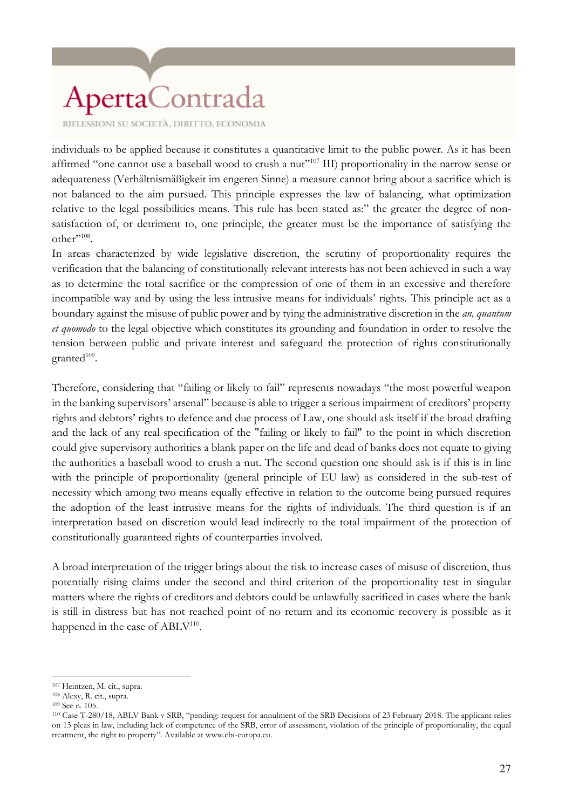RIFLESSIONI SU SOCIETÀ, DIRITTO, ECONOMIA

individuals to be applied because it constitutes a quantitative limit to the public power. As it has been affirmed "one cannot use a baseball wood to crush a nut"<sup>107</sup> III) proportionality in the narrow sense or adequateness (Verhältnismäßigkeit im engeren Sinne) a measure cannot bring about a sacrifice which is not balanced to the aim pursued. This principle expresses the law of balancing, what optimization relative to the legal possibilities means. This rule has been stated as:" the greater the degree of nonsatisfaction of, or detriment to, one principle, the greater must be the importance of satisfying the other". $^{108}$ .

In areas characterized by wide legislative discretion, the scrutiny of proportionality requires the verification that the balancing of constitutionally relevant interests has not been achieved in such a way as to determine the total sacrifice or the compression of one of them in an excessive and therefore incompatible way and by using the less intrusive means for individuals' rights. This principle act as a boundary against the misuse of public power and by tying the administrative discretion in the *an, quantum et quomodo* to the legal objective which constitutes its grounding and foundation in order to resolve the tension between public and private interest and safeguard the protection of rights constitutionally  $granted^{109}.$ 

Therefore, considering that "failing or likely to fail" represents nowadays "the most powerful weapon in the banking supervisors' arsenal" because is able to trigger a serious impairment of creditors' property rights and debtors' rights to defence and due process of Law, one should ask itself if the broad drafting and the lack of any real specification of the "failing or likely to fail" to the point in which discretion could give supervisory authorities a blank paper on the life and dead of banks does not equate to giving the authorities a baseball wood to crush a nut. The second question one should ask is if this is in line with the principle of proportionality (general principle of EU law) as considered in the sub-test of necessity which among two means equally effective in relation to the outcome being pursued requires the adoption of the least intrusive means for the rights of individuals. The third question is if an interpretation based on discretion would lead indirectly to the total impairment of the protection of constitutionally guaranteed rights of counterparties involved.

A broad interpretation of the trigger brings about the risk to increase cases of misuse of discretion, thus potentially rising claims under the second and third criterion of the proportionality test in singular matters where the rights of creditors and debtors could be unlawfully sacrificed in cases where the bank is still in distress but has not reached point of no return and its economic recovery is possible as it happened in the case of  $ABLV<sup>110</sup>$ .

<sup>107</sup> Heintzen, M. cit., supra.

<sup>108</sup> Alexy, R. cit., supra.

<sup>109</sup> See n. 105.

<sup>110</sup> Case T-280/18, ABLV Bank v SRB, "pending: request for annulment of the SRB Decisions of 23 February 2018. The applicant relies on 13 pleas in law, including lack of competence of the SRB, error of assessment, violation of the principle of proportionality, the equal treatment, the right to property". Available at www.ebi-europa.eu.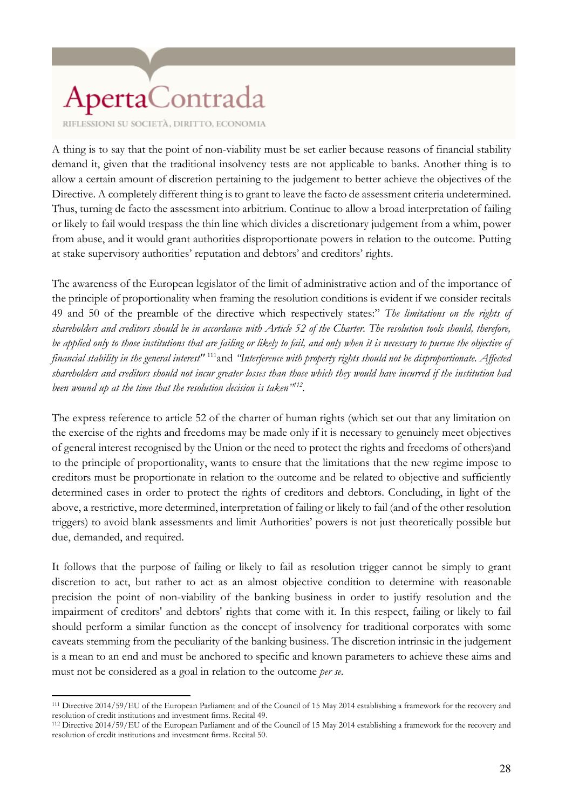RIFLESSIONI SU SOCIETÀ, DIRITTO, ECONOMIA

A thing is to say that the point of non-viability must be set earlier because reasons of financial stability demand it, given that the traditional insolvency tests are not applicable to banks. Another thing is to allow a certain amount of discretion pertaining to the judgement to better achieve the objectives of the Directive. A completely different thing is to grant to leave the facto de assessment criteria undetermined. Thus, turning de facto the assessment into arbitrium. Continue to allow a broad interpretation of failing or likely to fail would trespass the thin line which divides a discretionary judgement from a whim, power from abuse, and it would grant authorities disproportionate powers in relation to the outcome. Putting at stake supervisory authorities' reputation and debtors' and creditors' rights.

The awareness of the European legislator of the limit of administrative action and of the importance of the principle of proportionality when framing the resolution conditions is evident if we consider recitals 49 and 50 of the preamble of the directive which respectively states:" *The limitations on the rights of shareholders and creditors should be in accordance with Article 52 of the Charter. The resolution tools should, therefore, be applied only to those institutions that are failing or likely to fail, and only when it is necessary to pursue the objective of financial stability in the general interest"* <sup>111</sup>and *"Interference with property rights should not be disproportionate. Affected shareholders and creditors should not incur greater losses than those which they would have incurred if the institution had been wound up at the time that the resolution decision is taken"<sup>112</sup> .*

The express reference to article 52 of the charter of human rights (which set out that any limitation on the exercise of the rights and freedoms may be made only if it is necessary to genuinely meet objectives of general interest recognised by the Union or the need to protect the rights and freedoms of others)and to the principle of proportionality, wants to ensure that the limitations that the new regime impose to creditors must be proportionate in relation to the outcome and be related to objective and sufficiently determined cases in order to protect the rights of creditors and debtors. Concluding, in light of the above, a restrictive, more determined, interpretation of failing or likely to fail (and of the other resolution triggers) to avoid blank assessments and limit Authorities' powers is not just theoretically possible but due, demanded, and required.

It follows that the purpose of failing or likely to fail as resolution trigger cannot be simply to grant discretion to act, but rather to act as an almost objective condition to determine with reasonable precision the point of non-viability of the banking business in order to justify resolution and the impairment of creditors' and debtors' rights that come with it. In this respect, failing or likely to fail should perform a similar function as the concept of insolvency for traditional corporates with some caveats stemming from the peculiarity of the banking business. The discretion intrinsic in the judgement is a mean to an end and must be anchored to specific and known parameters to achieve these aims and must not be considered as a goal in relation to the outcome *per se*.

 $\overline{a}$ <sup>111</sup> Directive 2014/59/EU of the European Parliament and of the Council of 15 May 2014 establishing a framework for the recovery and resolution of credit institutions and investment firms. Recital 49.

<sup>112</sup> Directive 2014/59/EU of the European Parliament and of the Council of 15 May 2014 establishing a framework for the recovery and resolution of credit institutions and investment firms. Recital 50.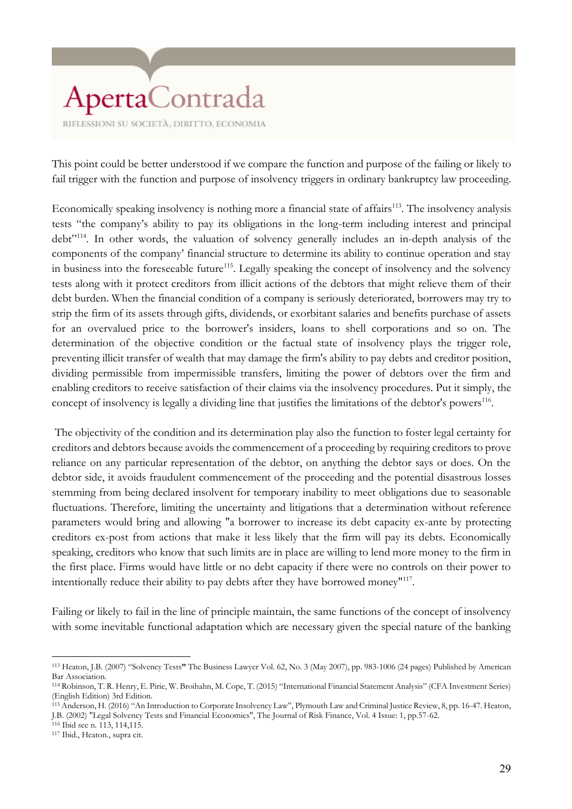This point could be better understood if we compare the function and purpose of the failing or likely to fail trigger with the function and purpose of insolvency triggers in ordinary bankruptcy law proceeding.

Economically speaking insolvency is nothing more a financial state of affairs<sup>113</sup>. The insolvency analysis tests "the company's ability to pay its obligations in the long-term including interest and principal debt<sup>"114</sup>. In other words, the valuation of solvency generally includes an in-depth analysis of the components of the company' financial structure to determine its ability to continue operation and stay in business into the foreseeable future<sup>115</sup>. Legally speaking the concept of insolvency and the solvency tests along with it protect creditors from illicit actions of the debtors that might relieve them of their debt burden. When the financial condition of a company is seriously deteriorated, borrowers may try to strip the firm of its assets through gifts, dividends, or exorbitant salaries and benefits purchase of assets for an overvalued price to the borrower's insiders, loans to shell corporations and so on. The determination of the objective condition or the factual state of insolvency plays the trigger role, preventing illicit transfer of wealth that may damage the firm's ability to pay debts and creditor position, dividing permissible from impermissible transfers, limiting the power of debtors over the firm and enabling creditors to receive satisfaction of their claims via the insolvency procedures. Put it simply, the concept of insolvency is legally a dividing line that justifies the limitations of the debtor's powers<sup>116</sup>.

The objectivity of the condition and its determination play also the function to foster legal certainty for creditors and debtors because avoids the commencement of a proceeding by requiring creditors to prove reliance on any particular representation of the debtor, on anything the debtor says or does. On the debtor side, it avoids fraudulent commencement of the proceeding and the potential disastrous losses stemming from being declared insolvent for temporary inability to meet obligations due to seasonable fluctuations. Therefore, limiting the uncertainty and litigations that a determination without reference parameters would bring and allowing "a borrower to increase its debt capacity ex-ante by protecting creditors ex-post from actions that make it less likely that the firm will pay its debts. Economically speaking, creditors who know that such limits are in place are willing to lend more money to the firm in the first place. Firms would have little or no debt capacity if there were no controls on their power to intentionally reduce their ability to pay debts after they have borrowed money"<sup>117</sup> .

Failing or likely to fail in the line of principle maintain, the same functions of the concept of insolvency with some inevitable functional adaptation which are necessary given the special nature of the banking

<sup>116</sup> Ibid see n. 113, 114,115.

<sup>117</sup> Ibid., Heaton., supra cit.

 $\overline{a}$ <sup>113</sup> Heaton, J.B. (2007) "Solvency Tests**"** The Business Lawyer Vol. 62, No. 3 (May 2007), pp. 983-1006 (24 pages) Published by American Bar Association.

<sup>114</sup> Robinson, T. R. Henry, E. Pirie, W. Broihahn, M. Cope, T. (2015) "International Financial Statement Analysis" (CFA Investment Series) (English Edition) 3rd Edition.

<sup>115</sup> Anderson, H. (2016) "An Introduction to Corporate Insolvency Law", Plymouth Law and Criminal Justice Review, 8, pp. 16-47. Heaton, J.B. (2002) "Legal Solvency Tests and Financial Economics", The Journal of Risk Finance, Vol. 4 Issue: 1, pp.57-62.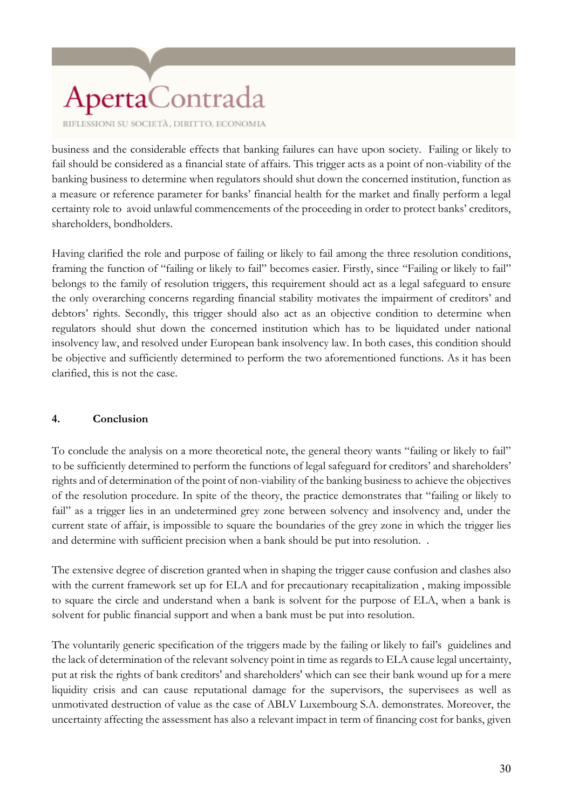RIFLESSIONI SU SOCIETÀ, DIRITTO, ECONOMIA

business and the considerable effects that banking failures can have upon society. Failing or likely to fail should be considered as a financial state of affairs. This trigger acts as a point of non-viability of the banking business to determine when regulators should shut down the concerned institution, function as a measure or reference parameter for banks' financial health for the market and finally perform a legal certainty role to avoid unlawful commencements of the proceeding in order to protect banks' creditors, shareholders, bondholders.

Having clarified the role and purpose of failing or likely to fail among the three resolution conditions, framing the function of "failing or likely to fail" becomes easier. Firstly, since "Failing or likely to fail" belongs to the family of resolution triggers, this requirement should act as a legal safeguard to ensure the only overarching concerns regarding financial stability motivates the impairment of creditors' and debtors' rights. Secondly, this trigger should also act as an objective condition to determine when regulators should shut down the concerned institution which has to be liquidated under national insolvency law, and resolved under European bank insolvency law. In both cases, this condition should be objective and sufficiently determined to perform the two aforementioned functions. As it has been clarified, this is not the case.

#### **4. Conclusion**

To conclude the analysis on a more theoretical note, the general theory wants "failing or likely to fail" to be sufficiently determined to perform the functions of legal safeguard for creditors' and shareholders' rights and of determination of the point of non-viability of the banking business to achieve the objectives of the resolution procedure. In spite of the theory, the practice demonstrates that "failing or likely to fail" as a trigger lies in an undetermined grey zone between solvency and insolvency and, under the current state of affair, is impossible to square the boundaries of the grey zone in which the trigger lies and determine with sufficient precision when a bank should be put into resolution. .

The extensive degree of discretion granted when in shaping the trigger cause confusion and clashes also with the current framework set up for ELA and for precautionary recapitalization , making impossible to square the circle and understand when a bank is solvent for the purpose of ELA, when a bank is solvent for public financial support and when a bank must be put into resolution.

The voluntarily generic specification of the triggers made by the failing or likely to fail's guidelines and the lack of determination of the relevant solvency point in time as regards to ELA cause legal uncertainty, put at risk the rights of bank creditors' and shareholders' which can see their bank wound up for a mere liquidity crisis and can cause reputational damage for the supervisors, the supervisees as well as unmotivated destruction of value as the case of ABLV Luxembourg S.A. demonstrates. Moreover, the uncertainty affecting the assessment has also a relevant impact in term of financing cost for banks, given